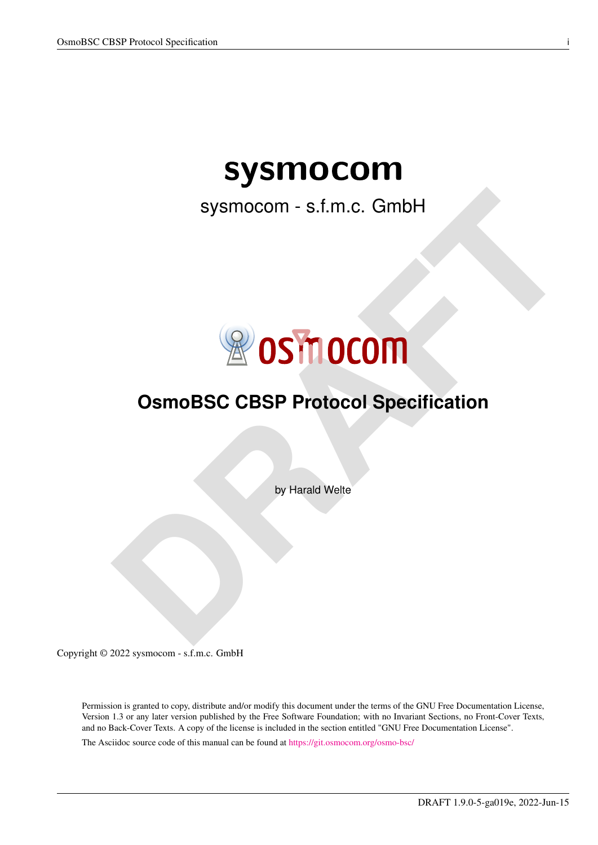# sysmocom

sysmocom - s.f.m.c. GmbH



## **OsmoBSC CBSP Protocol Specification**

by Harald Welte

Copyright © 2022 sysmocom - s.f.m.c. GmbH

Permission is granted to copy, distribute and/or modify this document under the terms of the GNU Free Documentation License, Version 1.3 or any later version published by the Free Software Foundation; with no Invariant Sections, no Front-Cover Texts, and no Back-Cover Texts. A copy of the license is included in the section entitled "GNU Free Documentation License".

The Asciidoc source code of this manual can be found at <https://git.osmocom.org/osmo-bsc/>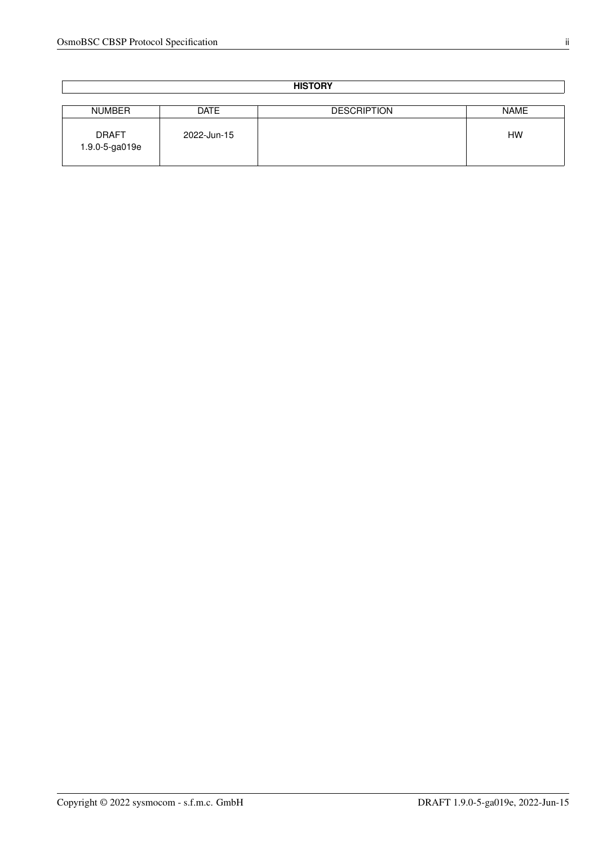| <b>HISTORY</b>                 |             |                    |             |
|--------------------------------|-------------|--------------------|-------------|
|                                |             |                    |             |
| NUMBER                         | <b>DATE</b> | <b>DESCRIPTION</b> | <b>NAME</b> |
| <b>DRAFT</b><br>1.9.0-5-ga019e | 2022-Jun-15 |                    | <b>HW</b>   |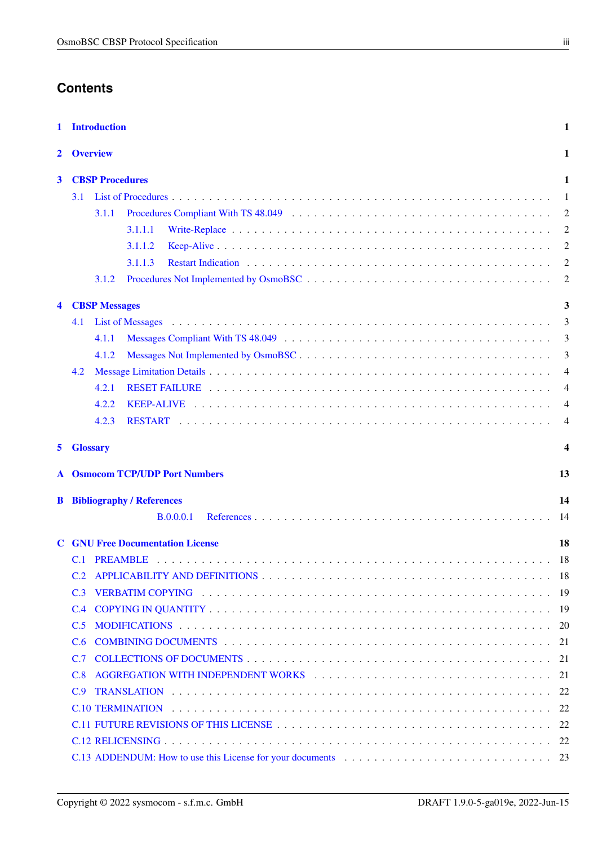## **Contents**

| 1 | <b>Introduction</b>                                                                                                                                                                                                                   | $\mathbf{1}$   |
|---|---------------------------------------------------------------------------------------------------------------------------------------------------------------------------------------------------------------------------------------|----------------|
| 2 | <b>Overview</b>                                                                                                                                                                                                                       | $\mathbf{1}$   |
| 3 | <b>CBSP Procedures</b><br>3.1                                                                                                                                                                                                         | 1<br>-1        |
|   | 3.1.1                                                                                                                                                                                                                                 | $\overline{2}$ |
|   | 3.1.1.1                                                                                                                                                                                                                               | $\overline{2}$ |
|   | 3.1.1.2                                                                                                                                                                                                                               | $\overline{2}$ |
|   | 3.1.1.3                                                                                                                                                                                                                               | $\overline{2}$ |
|   | 3.1.2                                                                                                                                                                                                                                 | $\overline{2}$ |
| 4 | <b>CBSP Messages</b>                                                                                                                                                                                                                  | 3              |
|   | List of Messages (and a contract of the contract of the contract of the contract of the contract of the contract of the contract of the contract of the contract of the contract of the contract of the contract of the contra<br>4.1 | 3              |
|   | 4.1.1                                                                                                                                                                                                                                 | 3              |
|   | 4.1.2                                                                                                                                                                                                                                 | 3              |
|   | 4.2                                                                                                                                                                                                                                   | $\overline{4}$ |
|   | 4.2.1                                                                                                                                                                                                                                 | $\overline{4}$ |
|   | 4.2.2                                                                                                                                                                                                                                 | $\overline{4}$ |
|   | 4.2.3                                                                                                                                                                                                                                 | $\overline{4}$ |
| 5 | <b>Glossary</b>                                                                                                                                                                                                                       | 4              |
| A | <b>Osmocom TCP/UDP Port Numbers</b>                                                                                                                                                                                                   | 13             |
|   | <b>B</b> Bibliography / References                                                                                                                                                                                                    | 14             |
|   | B.0.0.0.1                                                                                                                                                                                                                             | -14            |
|   |                                                                                                                                                                                                                                       |                |
| C | <b>GNU Free Documentation License</b>                                                                                                                                                                                                 | 18             |
|   |                                                                                                                                                                                                                                       | - 18           |
|   |                                                                                                                                                                                                                                       |                |
|   | C.3                                                                                                                                                                                                                                   |                |
|   | C.4                                                                                                                                                                                                                                   |                |
|   | C.5                                                                                                                                                                                                                                   |                |
|   | C.6                                                                                                                                                                                                                                   |                |
|   |                                                                                                                                                                                                                                       |                |
|   | C.8                                                                                                                                                                                                                                   |                |
|   |                                                                                                                                                                                                                                       |                |
|   |                                                                                                                                                                                                                                       |                |
|   |                                                                                                                                                                                                                                       |                |
|   |                                                                                                                                                                                                                                       |                |
|   |                                                                                                                                                                                                                                       |                |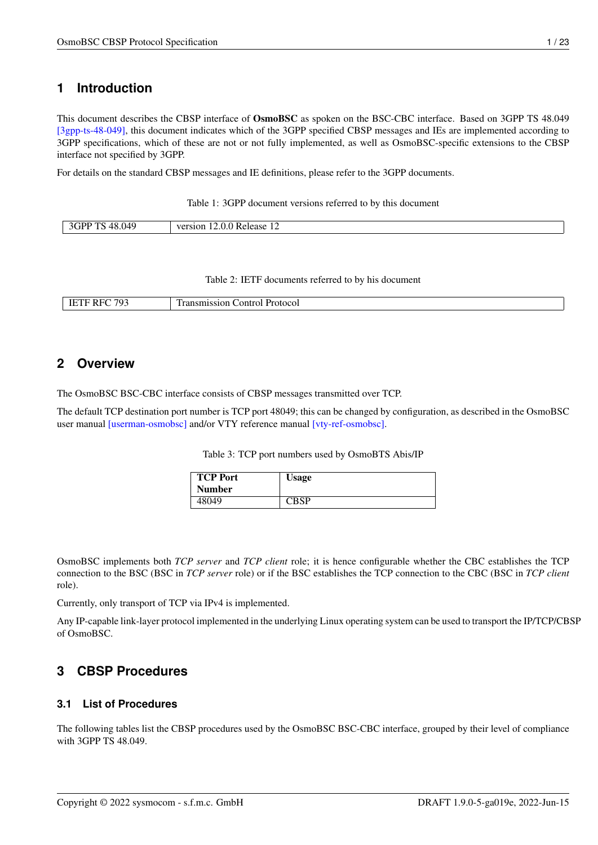## <span id="page-3-0"></span>**1 Introduction**

This document describes the CBSP interface of OsmoBSC as spoken on the BSC-CBC interface. Based on 3GPP TS 48.049 [\[3gpp-ts-48-049\],](#page-18-0) this document indicates which of the 3GPP specified CBSP messages and IEs are implemented according to 3GPP specifications, which of these are not or not fully implemented, as well as OsmoBSC-specific extensions to the CBSP interface not specified by 3GPP.

For details on the standard CBSP messages and IE definitions, please refer to the 3GPP documents.

Table 1: 3GPP document versions referred to by this document

Table 2: IETF documents referred to by his document

| 10 <sup>7</sup><br>$-$ | - -- --<br>.<br>Эľ<br><b>LOCOL</b><br>. |
|------------------------|-----------------------------------------|
|                        |                                         |

## <span id="page-3-1"></span>**2 Overview**

The OsmoBSC BSC-CBC interface consists of CBSP messages transmitted over TCP.

The default TCP destination port number is TCP port 48049; this can be changed by configuration, as described in the OsmoBSC user manual [\[userman-osmobsc\]](#page-16-2) and/or VTY reference manual [\[vty-ref-osmobsc\].](#page-16-3)

Table 3: TCP port numbers used by OsmoBTS Abis/IP

| <b>TCP Port</b> | Usage |
|-----------------|-------|
| <b>Number</b>   |       |
| 48049           | PRCD  |

OsmoBSC implements both *TCP server* and *TCP client* role; it is hence configurable whether the CBC establishes the TCP connection to the BSC (BSC in *TCP server* role) or if the BSC establishes the TCP connection to the CBC (BSC in *TCP client* role).

Currently, only transport of TCP via IPv4 is implemented.

Any IP-capable link-layer protocol implemented in the underlying Linux operating system can be used to transport the IP/TCP/CBSP of OsmoBSC.

## <span id="page-3-2"></span>**3 CBSP Procedures**

#### <span id="page-3-3"></span>**3.1 List of Procedures**

The following tables list the CBSP procedures used by the OsmoBSC BSC-CBC interface, grouped by their level of compliance with 3GPP TS 48.049.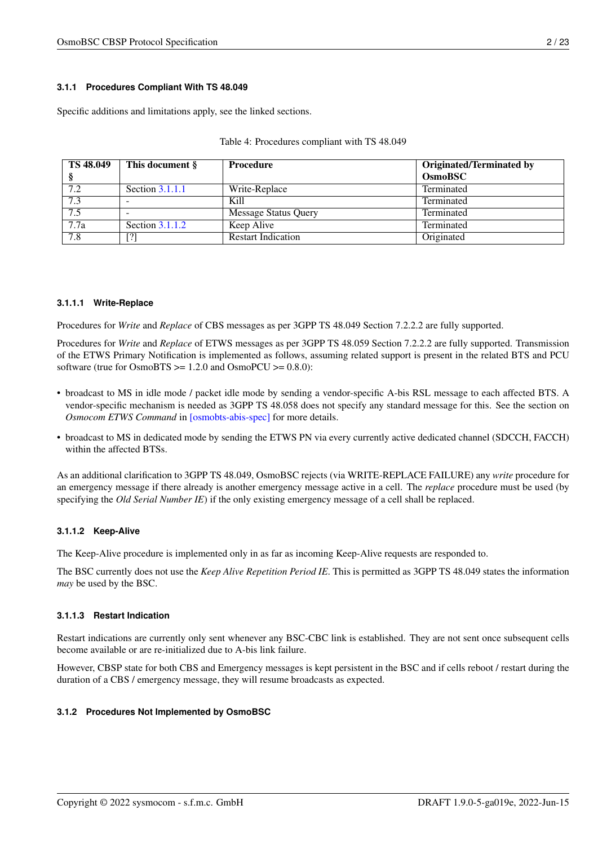#### <span id="page-4-0"></span>**3.1.1 Procedures Compliant With TS 48.049**

Specific additions and limitations apply, see the linked sections.

| TS 48.049         | This document §          | Procedure                 | <b>Originated/Terminated by</b> |
|-------------------|--------------------------|---------------------------|---------------------------------|
|                   |                          |                           | <b>OsmoBSC</b>                  |
| 7.2               | Section $3.1.1.1$        | Write-Replace             | Terminated                      |
| 7.3               | $\overline{\phantom{a}}$ | Kill                      | Terminated                      |
| 7.5               |                          | Message Status Query      | Terminated                      |
| $\overline{7.7a}$ | Section $3.1.1.2$        | Keep Alive                | Terminated                      |
| 7.8               | [?]                      | <b>Restart Indication</b> | Originated                      |

#### Table 4: Procedures compliant with TS 48.049

#### <span id="page-4-1"></span>**3.1.1.1 Write-Replace**

Procedures for *Write* and *Replace* of CBS messages as per 3GPP TS 48.049 Section 7.2.2.2 are fully supported.

Procedures for *Write* and *Replace* of ETWS messages as per 3GPP TS 48.059 Section 7.2.2.2 are fully supported. Transmission of the ETWS Primary Notification is implemented as follows, assuming related support is present in the related BTS and PCU software (true for OsmoBTS >= 1.2.0 and OsmoPCU >= 0.8.0):

- broadcast to MS in idle mode / packet idle mode by sending a vendor-specific A-bis RSL message to each affected BTS. A vendor-specific mechanism is needed as 3GPP TS 48.058 does not specify any standard message for this. See the section on *Osmocom ETWS Command* in [\[osmobts-abis-spec\]](#page-16-4) for more details.
- broadcast to MS in dedicated mode by sending the ETWS PN via every currently active dedicated channel (SDCCH, FACCH) within the affected BTSs.

As an additional clarification to 3GPP TS 48.049, OsmoBSC rejects (via WRITE-REPLACE FAILURE) any *write* procedure for an emergency message if there already is another emergency message active in a cell. The *replace* procedure must be used (by specifying the *Old Serial Number IE*) if the only existing emergency message of a cell shall be replaced.

#### <span id="page-4-2"></span>**3.1.1.2 Keep-Alive**

The Keep-Alive procedure is implemented only in as far as incoming Keep-Alive requests are responded to.

The BSC currently does not use the *Keep Alive Repetition Period IE*. This is permitted as 3GPP TS 48.049 states the information *may* be used by the BSC.

#### <span id="page-4-3"></span>**3.1.1.3 Restart Indication**

Restart indications are currently only sent whenever any BSC-CBC link is established. They are not sent once subsequent cells become available or are re-initialized due to A-bis link failure.

However, CBSP state for both CBS and Emergency messages is kept persistent in the BSC and if cells reboot / restart during the duration of a CBS / emergency message, they will resume broadcasts as expected.

#### <span id="page-4-4"></span>**3.1.2 Procedures Not Implemented by OsmoBSC**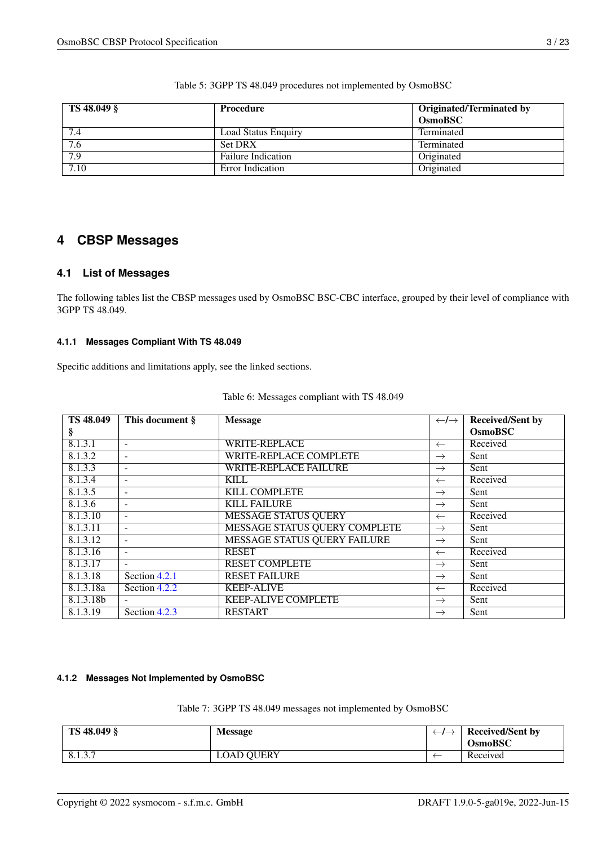| TS 48.049 § | Procedure                  | <b>Originated/Terminated by</b> |
|-------------|----------------------------|---------------------------------|
|             |                            | <b>OsmoBSC</b>                  |
| 7.4         | <b>Load Status Enquiry</b> | Terminated                      |
| 7.6         | <b>Set DRX</b>             | Terminated                      |
| 7.9         | <b>Failure Indication</b>  | Originated                      |
| 7.10        | Error Indication           | Originated                      |

Table 5: 3GPP TS 48.049 procedures not implemented by OsmoBSC

## <span id="page-5-0"></span>**4 CBSP Messages**

### <span id="page-5-1"></span>**4.1 List of Messages**

The following tables list the CBSP messages used by OsmoBSC BSC-CBC interface, grouped by their level of compliance with 3GPP TS 48.049.

#### <span id="page-5-2"></span>**4.1.1 Messages Compliant With TS 48.049**

Specific additions and limitations apply, see the linked sections.

| <b>TS 48.049</b> | This document §          | <b>Message</b>                      | $\leftarrow$ / $\rightarrow$ | <b>Received/Sent by</b> |
|------------------|--------------------------|-------------------------------------|------------------------------|-------------------------|
| ş                |                          |                                     |                              | <b>OsmoBSC</b>          |
| 8.1.3.1          | $\overline{\phantom{a}}$ | <b>WRITE-REPLACE</b>                | $\leftarrow$                 | Received                |
| 8.1.3.2          | $\overline{\phantom{a}}$ | WRITE-REPLACE COMPLETE              | $\rightarrow$                | Sent                    |
| 8.1.3.3          | $\overline{\phantom{a}}$ | <b>WRITE-REPLACE FAILURE</b>        | $\rightarrow$                | Sent                    |
| 8.1.3.4          | $\overline{\phantom{a}}$ | <b>KILL</b>                         | $\leftarrow$                 | Received                |
| 8.1.3.5          | $\overline{\phantom{a}}$ | KILL COMPLETE                       | $\rightarrow$                | Sent                    |
| 8.1.3.6          | $\overline{\phantom{a}}$ | <b>KILL FAILURE</b>                 | $\rightarrow$                | Sent                    |
| 8.1.3.10         | $\overline{\phantom{a}}$ | <b>MESSAGE STATUS QUERY</b>         | $\leftarrow$                 | Received                |
| 8.1.3.11         | $\overline{\phantom{a}}$ | MESSAGE STATUS QUERY COMPLETE       | $\rightarrow$                | Sent                    |
| 8.1.3.12         | $\overline{\phantom{a}}$ | <b>MESSAGE STATUS QUERY FAILURE</b> | $\rightarrow$                | Sent                    |
| 8.1.3.16         | $\overline{\phantom{a}}$ | <b>RESET</b>                        | $\leftarrow$                 | Received                |
| 8.1.3.17         | $\overline{\phantom{a}}$ | <b>RESET COMPLETE</b>               | $\rightarrow$                | Sent                    |
| 8.1.3.18         | Section 4.2.1            | <b>RESET FAILURE</b>                | $\rightarrow$                | Sent                    |
| 8.1.3.18a        | Section 4.2.2            | <b>KEEP-ALIVE</b>                   | $\leftarrow$                 | Received                |
| 8.1.3.18b        | $\overline{\phantom{a}}$ | <b>KEEP-ALIVE COMPLETE</b>          | $\rightarrow$                | Sent                    |
| 8.1.3.19         | Section 4.2.3            | <b>RESTART</b>                      | $\rightarrow$                | Sent                    |

#### <span id="page-5-3"></span>**4.1.2 Messages Not Implemented by OsmoBSC**

Table 7: 3GPP TS 48.049 messages not implemented by OsmoBSC

| TS 48.049 § | <b>Message</b>    | <b>Received/Sent by</b><br><b>OsmoBSC</b> |
|-------------|-------------------|-------------------------------------------|
| 8.1.3.7     | <b>LOAD QUERY</b> | Received                                  |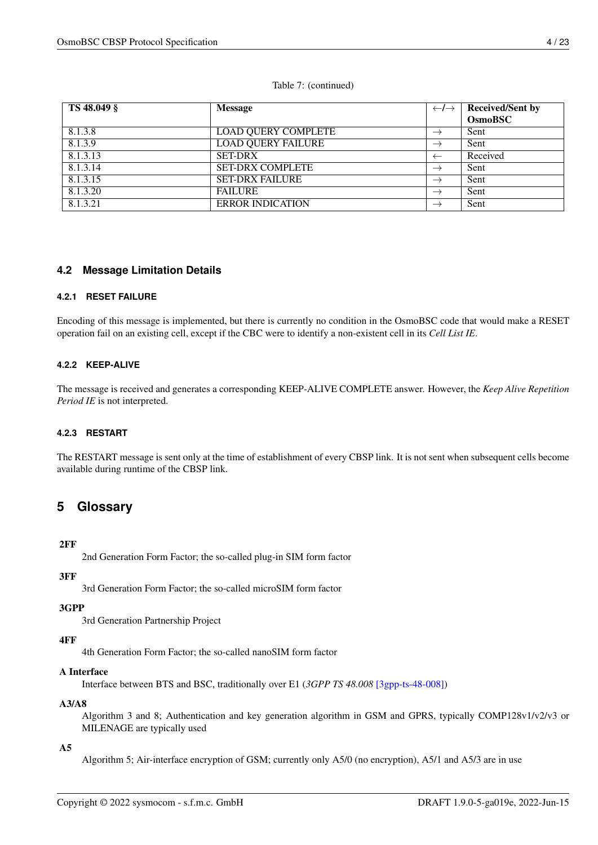#### Table 7: (continued)

| TS 48.049 § | <b>Message</b>             | $\leftarrow$ / $\rightarrow$ | <b>Received/Sent by</b> |
|-------------|----------------------------|------------------------------|-------------------------|
|             |                            |                              | <b>OsmoBSC</b>          |
| 8.1.3.8     | <b>LOAD QUERY COMPLETE</b> | $\rightarrow$                | Sent                    |
| 8.1.3.9     | <b>LOAD QUERY FAILURE</b>  | $\rightarrow$                | Sent                    |
| 8.1.3.13    | <b>SET-DRX</b>             | $\leftarrow$                 | Received                |
| 8.1.3.14    | <b>SET-DRX COMPLETE</b>    | $\rightarrow$                | Sent                    |
| 8.1.3.15    | <b>SET-DRX FAILURE</b>     | $\rightarrow$                | Sent                    |
| 8.1.3.20    | <b>FAILURE</b>             | $\rightarrow$                | Sent                    |
| 8.1.3.21    | <b>ERROR INDICATION</b>    | $\rightarrow$                | Sent                    |

### <span id="page-6-0"></span>**4.2 Message Limitation Details**

#### <span id="page-6-1"></span>**4.2.1 RESET FAILURE**

Encoding of this message is implemented, but there is currently no condition in the OsmoBSC code that would make a RESET operation fail on an existing cell, except if the CBC were to identify a non-existent cell in its *Cell List IE*.

#### <span id="page-6-2"></span>**4.2.2 KEEP-ALIVE**

The message is received and generates a corresponding KEEP-ALIVE COMPLETE answer. However, the *Keep Alive Repetition Period IE* is not interpreted.

#### <span id="page-6-3"></span>**4.2.3 RESTART**

The RESTART message is sent only at the time of establishment of every CBSP link. It is not sent when subsequent cells become available during runtime of the CBSP link.

## <span id="page-6-4"></span>**5 Glossary**

#### 2FF

2nd Generation Form Factor; the so-called plug-in SIM form factor

#### 3FF

3rd Generation Form Factor; the so-called microSIM form factor

#### 3GPP

3rd Generation Partnership Project

#### 4FF

4th Generation Form Factor; the so-called nanoSIM form factor

#### A Interface

Interface between BTS and BSC, traditionally over E1 (*3GPP TS 48.008* [\[3gpp-ts-48-008\]\)](#page-18-1)

#### A3/A8

Algorithm 3 and 8; Authentication and key generation algorithm in GSM and GPRS, typically COMP128v1/v2/v3 or MILENAGE are typically used

#### $A<sub>5</sub>$

Algorithm 5; Air-interface encryption of GSM; currently only A5/0 (no encryption), A5/1 and A5/3 are in use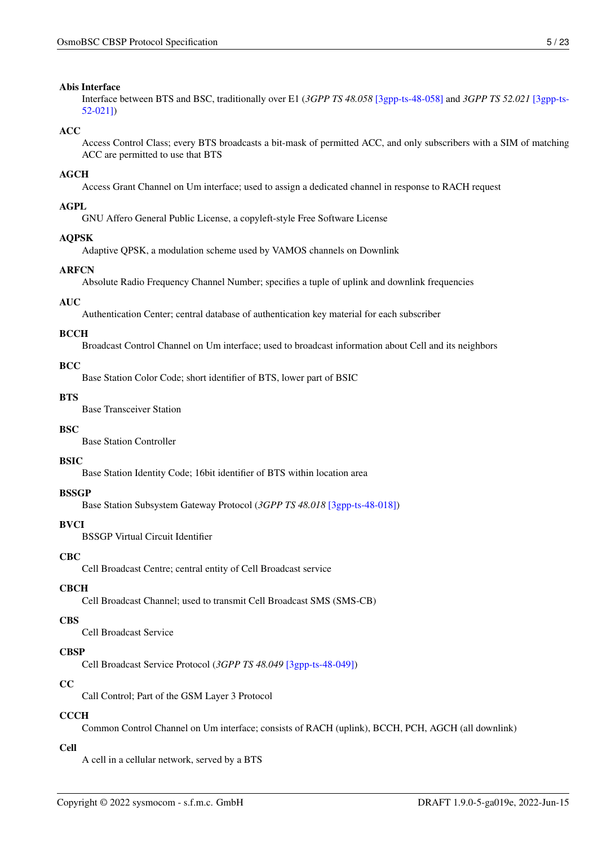#### Abis Interface

Interface between BTS and BSC, traditionally over E1 (*3GPP TS 48.058* [\[3gpp-ts-48-058\]](#page-19-0) and *3GPP TS 52.021* [\[3gpp-ts-](#page-19-1)[52-021\]\)](#page-19-1)

#### $\Delta$ CC

Access Control Class; every BTS broadcasts a bit-mask of permitted ACC, and only subscribers with a SIM of matching ACC are permitted to use that BTS

#### AGCH

Access Grant Channel on Um interface; used to assign a dedicated channel in response to RACH request

#### AGPL

GNU Affero General Public License, a copyleft-style Free Software License

#### AQPSK

Adaptive QPSK, a modulation scheme used by VAMOS channels on Downlink

#### ARFCN

Absolute Radio Frequency Channel Number; specifies a tuple of uplink and downlink frequencies

#### AUC

Authentication Center; central database of authentication key material for each subscriber

#### **BCCH**

Broadcast Control Channel on Um interface; used to broadcast information about Cell and its neighbors

#### $BCC$

Base Station Color Code; short identifier of BTS, lower part of BSIC

#### BTS

Base Transceiver Station

#### **BSC**

Base Station Controller

#### **BSIC**

Base Station Identity Code; 16bit identifier of BTS within location area

#### **BSSGP**

Base Station Subsystem Gateway Protocol (*3GPP TS 48.018* [\[3gpp-ts-48-018\]\)](#page-18-2)

#### **BVCI**

BSSGP Virtual Circuit Identifier

#### **CBC**

Cell Broadcast Centre; central entity of Cell Broadcast service

#### **CBCH**

Cell Broadcast Channel; used to transmit Cell Broadcast SMS (SMS-CB)

#### **CBS**

Cell Broadcast Service

#### **CBSP**

Cell Broadcast Service Protocol (*3GPP TS 48.049* [\[3gpp-ts-48-049\]\)](#page-18-0)

#### CC

Call Control; Part of the GSM Layer 3 Protocol

#### **CCCH**

Common Control Channel on Um interface; consists of RACH (uplink), BCCH, PCH, AGCH (all downlink)

#### Cell

A cell in a cellular network, served by a BTS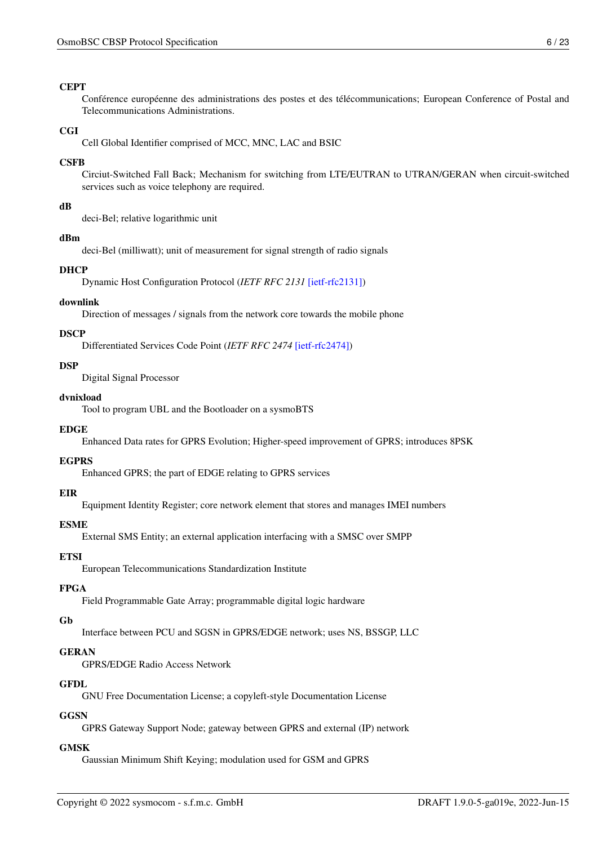#### **CEPT**

Conférence européenne des administrations des postes et des télécommunications; European Conference of Postal and Telecommunications Administrations.

#### **CGI**

Cell Global Identifier comprised of MCC, MNC, LAC and BSIC

#### **CSFB**

Circiut-Switched Fall Back; Mechanism for switching from LTE/EUTRAN to UTRAN/GERAN when circuit-switched services such as voice telephony are required.

#### dB

deci-Bel; relative logarithmic unit

#### dBm

deci-Bel (milliwatt); unit of measurement for signal strength of radio signals

#### DHCP

Dynamic Host Configuration Protocol (*IETF RFC 2131* [\[ietf-rfc2131\]\)](#page-19-2)

#### downlink

Direction of messages / signals from the network core towards the mobile phone

#### **DSCP**

Differentiated Services Code Point (*IETF RFC 2474* [\[ietf-rfc2474\]\)](#page-19-3)

#### **DSP**

Digital Signal Processor

#### dvnixload

Tool to program UBL and the Bootloader on a sysmoBTS

#### **EDGE**

Enhanced Data rates for GPRS Evolution; Higher-speed improvement of GPRS; introduces 8PSK

#### **EGPRS**

Enhanced GPRS; the part of EDGE relating to GPRS services

#### EIR

Equipment Identity Register; core network element that stores and manages IMEI numbers

## ESME

External SMS Entity; an external application interfacing with a SMSC over SMPP

#### **ETSI**

European Telecommunications Standardization Institute

#### FPGA

Field Programmable Gate Array; programmable digital logic hardware

#### Gb

Interface between PCU and SGSN in GPRS/EDGE network; uses NS, BSSGP, LLC

#### GERAN

GPRS/EDGE Radio Access Network

#### **GFDL**

GNU Free Documentation License; a copyleft-style Documentation License

#### **GGSN**

GPRS Gateway Support Node; gateway between GPRS and external (IP) network

#### **GMSK**

Gaussian Minimum Shift Keying; modulation used for GSM and GPRS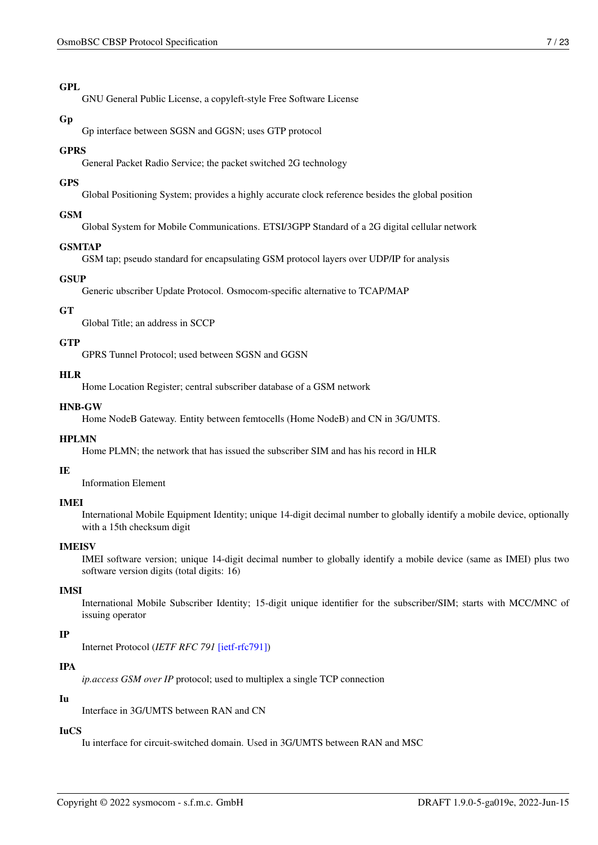#### GPL

GNU General Public License, a copyleft-style Free Software License

#### Gp

Gp interface between SGSN and GGSN; uses GTP protocol

#### GPRS

General Packet Radio Service; the packet switched 2G technology

#### GPS

Global Positioning System; provides a highly accurate clock reference besides the global position

#### GSM

Global System for Mobile Communications. ETSI/3GPP Standard of a 2G digital cellular network

#### GSMTAP

GSM tap; pseudo standard for encapsulating GSM protocol layers over UDP/IP for analysis

## **GSUP**

Generic ubscriber Update Protocol. Osmocom-specific alternative to TCAP/MAP

#### GT

Global Title; an address in SCCP

#### **GTP**

GPRS Tunnel Protocol; used between SGSN and GGSN

#### HLR

Home Location Register; central subscriber database of a GSM network

#### HNB-GW

Home NodeB Gateway. Entity between femtocells (Home NodeB) and CN in 3G/UMTS.

#### HPLMN

Home PLMN; the network that has issued the subscriber SIM and has his record in HLR

#### IE

Information Element

#### IMEI

International Mobile Equipment Identity; unique 14-digit decimal number to globally identify a mobile device, optionally with a 15th checksum digit

#### IMEISV

IMEI software version; unique 14-digit decimal number to globally identify a mobile device (same as IMEI) plus two software version digits (total digits: 16)

#### IMSI

International Mobile Subscriber Identity; 15-digit unique identifier for the subscriber/SIM; starts with MCC/MNC of issuing operator

## IP

Internet Protocol (*IETF RFC 791* [\[ietf-rfc791\]\)](#page-19-4)

## IPA

*ip.access GSM over IP* protocol; used to multiplex a single TCP connection

## Iu

Interface in 3G/UMTS between RAN and CN

## IuCS

Iu interface for circuit-switched domain. Used in 3G/UMTS between RAN and MSC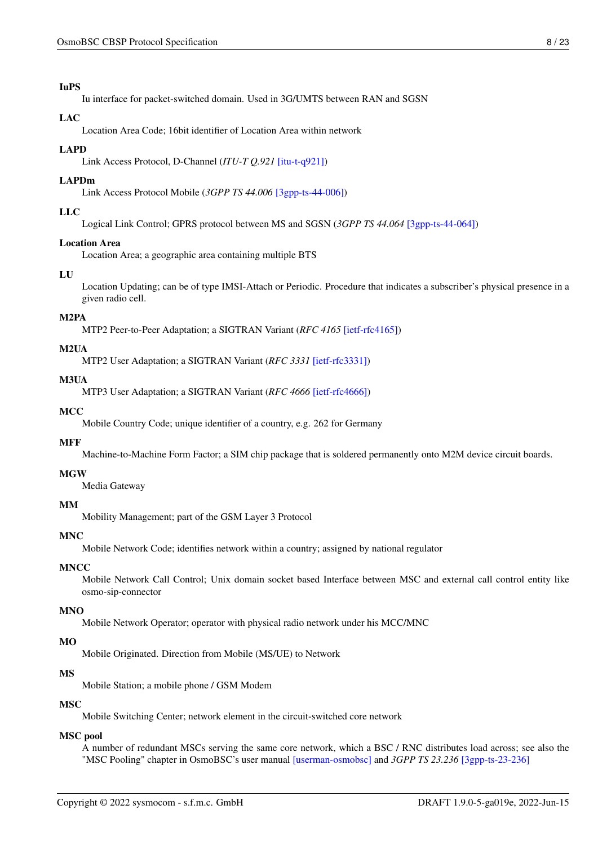#### IuPS

Iu interface for packet-switched domain. Used in 3G/UMTS between RAN and SGSN

#### LAC

Location Area Code; 16bit identifier of Location Area within network

#### LAPD

Link Access Protocol, D-Channel (*ITU-T Q.921* [\[itu-t-q921\]\)](#page-20-3)

#### LAPDm

Link Access Protocol Mobile (*3GPP TS 44.006* [\[3gpp-ts-44-006\]\)](#page-18-3)

#### LLC

Logical Link Control; GPRS protocol between MS and SGSN (*3GPP TS 44.064* [\[3gpp-ts-44-064\]\)](#page-18-4)

#### Location Area

Location Area; a geographic area containing multiple BTS

#### LU

Location Updating; can be of type IMSI-Attach or Periodic. Procedure that indicates a subscriber's physical presence in a given radio cell.

#### M2PA

MTP2 Peer-to-Peer Adaptation; a SIGTRAN Variant (*RFC 4165* [\[ietf-rfc4165\]\)](#page-19-5)

## M2UA

MTP2 User Adaptation; a SIGTRAN Variant (*RFC 3331* [\[ietf-rfc3331\]\)](#page-19-6)

#### M3UA

MTP3 User Adaptation; a SIGTRAN Variant (*RFC 4666* [\[ietf-rfc4666\]\)](#page-19-7)

#### **MCC**

Mobile Country Code; unique identifier of a country, e.g. 262 for Germany

#### MFF

Machine-to-Machine Form Factor; a SIM chip package that is soldered permanently onto M2M device circuit boards.

#### **MGW**

Media Gateway

#### MM

Mobility Management; part of the GSM Layer 3 Protocol

#### MNC

Mobile Network Code; identifies network within a country; assigned by national regulator

#### **MNCC**

Mobile Network Call Control; Unix domain socket based Interface between MSC and external call control entity like osmo-sip-connector

#### MNO

Mobile Network Operator; operator with physical radio network under his MCC/MNC

#### MO

Mobile Originated. Direction from Mobile (MS/UE) to Network

#### MS

Mobile Station; a mobile phone / GSM Modem

#### MSC

Mobile Switching Center; network element in the circuit-switched core network

## MSC pool

A number of redundant MSCs serving the same core network, which a BSC / RNC distributes load across; see also the "MSC Pooling" chapter in OsmoBSC's user manual [\[userman-osmobsc\]](#page-16-2) and *3GPP TS 23.236* [\[3gpp-ts-23-236\]](#page-18-5)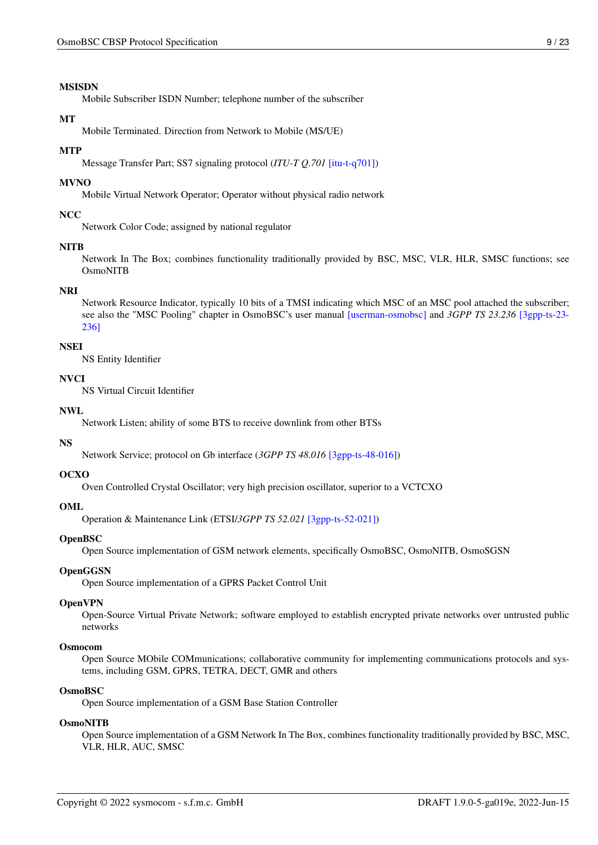#### MSISDN

Mobile Subscriber ISDN Number; telephone number of the subscriber

#### **MT**

Mobile Terminated. Direction from Network to Mobile (MS/UE)

#### **MTP**

Message Transfer Part; SS7 signaling protocol (*ITU-T Q.701* [\[itu-t-q701\]\)](#page-19-8)

#### MVNO

Mobile Virtual Network Operator; Operator without physical radio network

#### **NCC**

Network Color Code; assigned by national regulator

#### **NITB**

Network In The Box; combines functionality traditionally provided by BSC, MSC, VLR, HLR, SMSC functions; see OsmoNITB

#### NRI

Network Resource Indicator, typically 10 bits of a TMSI indicating which MSC of an MSC pool attached the subscriber; see also the "MSC Pooling" chapter in OsmoBSC's user manual [\[userman-osmobsc\]](#page-16-2) and *3GPP TS 23.236* [\[3gpp-ts-23-](#page-18-5) [236\]](#page-18-5)

#### NSEI

NS Entity Identifier

#### **NVCI**

NS Virtual Circuit Identifier

#### NWL

Network Listen; ability of some BTS to receive downlink from other BTSs

#### NS

Network Service; protocol on Gb interface (*3GPP TS 48.016* [\[3gpp-ts-48-016\]\)](#page-18-6)

#### OCXO

Oven Controlled Crystal Oscillator; very high precision oscillator, superior to a VCTCXO

#### OML

Operation & Maintenance Link (ETSI/*3GPP TS 52.021* [\[3gpp-ts-52-021\]\)](#page-19-1)

#### OpenBSC

Open Source implementation of GSM network elements, specifically OsmoBSC, OsmoNITB, OsmoSGSN

#### **OpenGGSN**

Open Source implementation of a GPRS Packet Control Unit

#### OpenVPN

Open-Source Virtual Private Network; software employed to establish encrypted private networks over untrusted public networks

#### Osmocom

Open Source MObile COMmunications; collaborative community for implementing communications protocols and systems, including GSM, GPRS, TETRA, DECT, GMR and others

#### OsmoBSC

Open Source implementation of a GSM Base Station Controller

#### OsmoNITB

Open Source implementation of a GSM Network In The Box, combines functionality traditionally provided by BSC, MSC, VLR, HLR, AUC, SMSC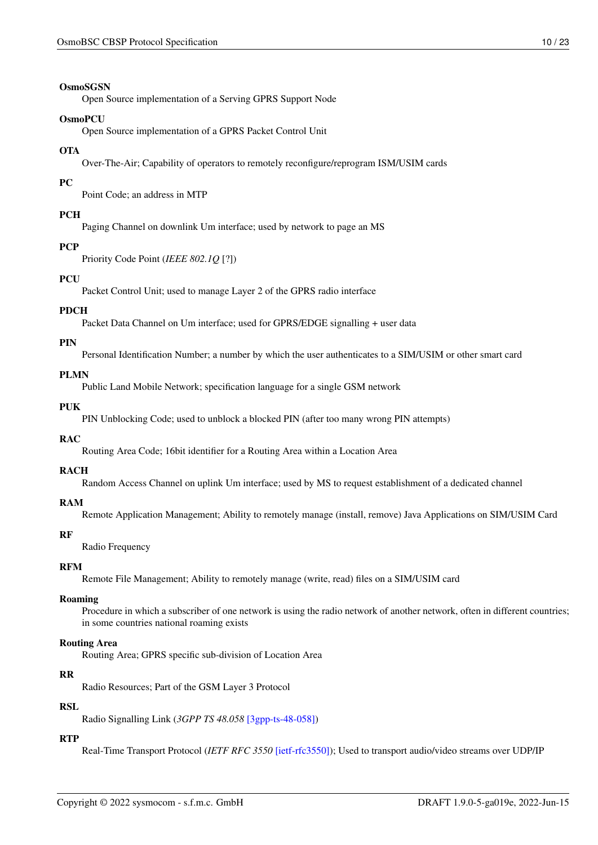#### OsmoSGSN

Open Source implementation of a Serving GPRS Support Node

#### OsmoPCU

Open Source implementation of a GPRS Packet Control Unit

#### **OTA**

Over-The-Air; Capability of operators to remotely reconfigure/reprogram ISM/USIM cards

#### PC

Point Code; an address in MTP

#### **PCH**

Paging Channel on downlink Um interface; used by network to page an MS

#### **PCP**

Priority Code Point (*IEEE 802.1Q* [?])

## **PCU**

Packet Control Unit; used to manage Layer 2 of the GPRS radio interface

#### PDCH

Packet Data Channel on Um interface; used for GPRS/EDGE signalling + user data

#### PIN

Personal Identification Number; a number by which the user authenticates to a SIM/USIM or other smart card

#### PLMN

Public Land Mobile Network; specification language for a single GSM network

#### PUK

PIN Unblocking Code; used to unblock a blocked PIN (after too many wrong PIN attempts)

#### RAC

Routing Area Code; 16bit identifier for a Routing Area within a Location Area

#### RACH

Random Access Channel on uplink Um interface; used by MS to request establishment of a dedicated channel

#### RAM

Remote Application Management; Ability to remotely manage (install, remove) Java Applications on SIM/USIM Card

#### RF

Radio Frequency

#### RFM

Remote File Management; Ability to remotely manage (write, read) files on a SIM/USIM card

#### Roaming

Procedure in which a subscriber of one network is using the radio network of another network, often in different countries; in some countries national roaming exists

#### Routing Area

Routing Area; GPRS specific sub-division of Location Area

#### RR

Radio Resources; Part of the GSM Layer 3 Protocol

#### RSL

Radio Signalling Link (*3GPP TS 48.058* [\[3gpp-ts-48-058\]\)](#page-19-0)

#### **RTP**

Real-Time Transport Protocol (*IETF RFC 3550* [\[ietf-rfc3550\]\)](#page-19-9); Used to transport audio/video streams over UDP/IP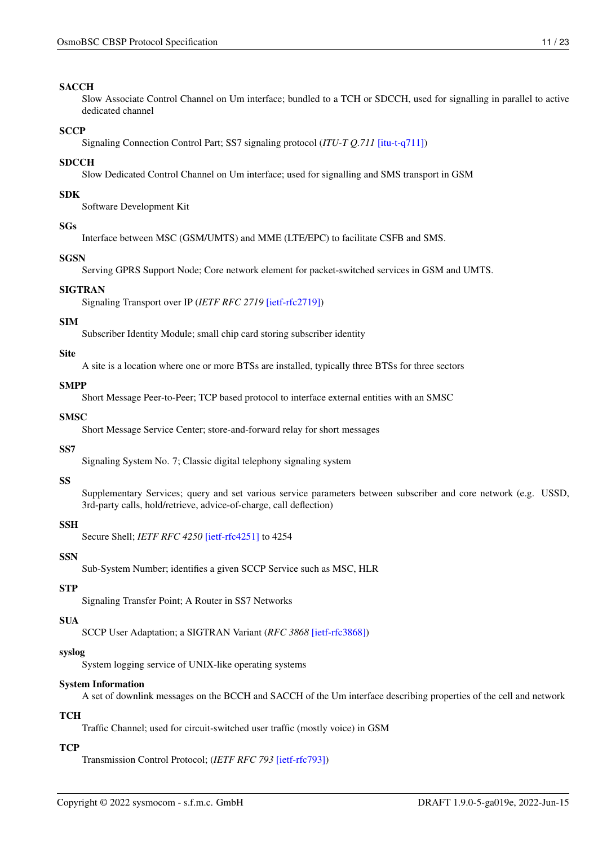#### SACCH

Slow Associate Control Channel on Um interface; bundled to a TCH or SDCCH, used for signalling in parallel to active dedicated channel

#### **SCCP**

Signaling Connection Control Part; SS7 signaling protocol (*ITU-T Q.711* [\[itu-t-q711\]\)](#page-20-4)

#### **SDCCH**

Slow Dedicated Control Channel on Um interface; used for signalling and SMS transport in GSM

#### SDK

Software Development Kit

#### SGs

Interface between MSC (GSM/UMTS) and MME (LTE/EPC) to facilitate CSFB and SMS.

#### **SGSN**

Serving GPRS Support Node; Core network element for packet-switched services in GSM and UMTS.

#### SIGTRAN

Signaling Transport over IP (*IETF RFC 2719* [\[ietf-rfc2719\]\)](#page-19-10)

#### SIM

Subscriber Identity Module; small chip card storing subscriber identity

#### Site

A site is a location where one or more BTSs are installed, typically three BTSs for three sectors

## SMPP

Short Message Peer-to-Peer; TCP based protocol to interface external entities with an SMSC

#### **SMSC**

Short Message Service Center; store-and-forward relay for short messages

#### SS7

Signaling System No. 7; Classic digital telephony signaling system

#### SS

Supplementary Services; query and set various service parameters between subscriber and core network (e.g. USSD, 3rd-party calls, hold/retrieve, advice-of-charge, call deflection)

#### **SSH**

Secure Shell; *IETF RFC 4250* [\[ietf-rfc4251\]](#page-19-11) to 4254

#### **SSN**

Sub-System Number; identifies a given SCCP Service such as MSC, HLR

#### **STP**

Signaling Transfer Point; A Router in SS7 Networks

#### **SUA**

SCCP User Adaptation; a SIGTRAN Variant (*RFC 3868* [\[ietf-rfc3868\]\)](#page-19-12)

#### syslog

System logging service of UNIX-like operating systems

#### System Information

A set of downlink messages on the BCCH and SACCH of the Um interface describing properties of the cell and network

#### **TCH**

Traffic Channel; used for circuit-switched user traffic (mostly voice) in GSM

#### **TCP**

Transmission Control Protocol; (*IETF RFC 793* [\[ietf-rfc793\]\)](#page-19-13)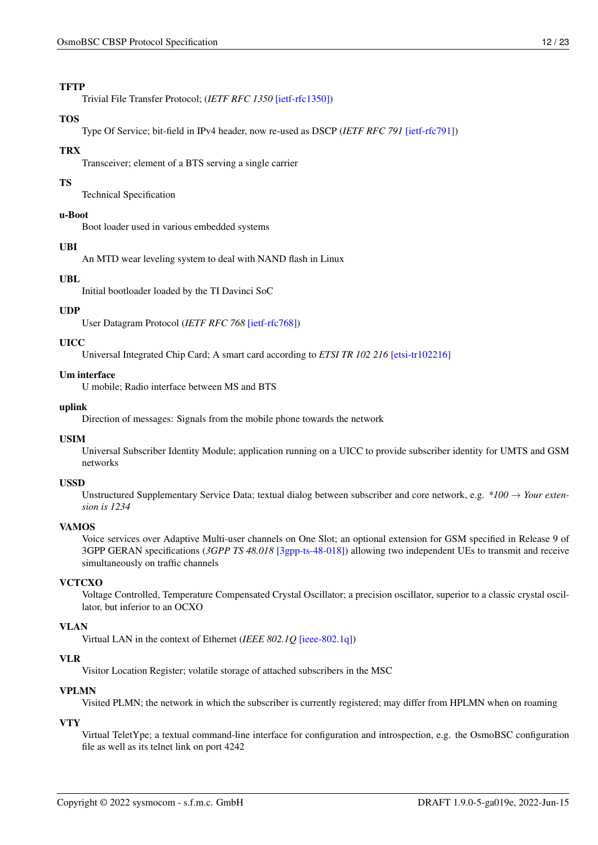#### **TFTP**

Trivial File Transfer Protocol; (*IETF RFC 1350* [\[ietf-rfc1350\]\)](#page-19-14)

#### TOS

Type Of Service; bit-field in IPv4 header, now re-used as DSCP (*IETF RFC 791* [\[ietf-rfc791\]\)](#page-19-4)

#### **TRX**

Transceiver; element of a BTS serving a single carrier

#### TS

Technical Specification

#### u-Boot

Boot loader used in various embedded systems

#### UBI

An MTD wear leveling system to deal with NAND flash in Linux

## UBL

Initial bootloader loaded by the TI Davinci SoC

#### UDP

User Datagram Protocol (*IETF RFC 768* [\[ietf-rfc768\]\)](#page-19-15)

#### UICC

Universal Integrated Chip Card; A smart card according to *ETSI TR 102 216* [\[etsi-tr102216\]](#page-19-16)

#### Um interface

U mobile; Radio interface between MS and BTS

#### uplink

Direction of messages: Signals from the mobile phone towards the network

#### USIM

Universal Subscriber Identity Module; application running on a UICC to provide subscriber identity for UMTS and GSM networks

#### USSD

Unstructured Supplementary Service Data; textual dialog between subscriber and core network, e.g. *\*100* → *Your extension is 1234*

#### **VAMOS**

Voice services over Adaptive Multi-user channels on One Slot; an optional extension for GSM specified in Release 9 of 3GPP GERAN specifications (*3GPP TS 48.018* [\[3gpp-ts-48-018\]\)](#page-18-2) allowing two independent UEs to transmit and receive simultaneously on traffic channels

#### **VCTCXO**

Voltage Controlled, Temperature Compensated Crystal Oscillator; a precision oscillator, superior to a classic crystal oscillator, but inferior to an OCXO

#### VLAN

Virtual LAN in the context of Ethernet (*IEEE 802.1Q* [\[ieee-802.1q\]\)](#page-19-17)

#### VLR

Visitor Location Register; volatile storage of attached subscribers in the MSC

#### VPLMN

Visited PLMN; the network in which the subscriber is currently registered; may differ from HPLMN when on roaming

#### VTY

Virtual TeletYpe; a textual command-line interface for configuration and introspection, e.g. the OsmoBSC configuration file as well as its telnet link on port 4242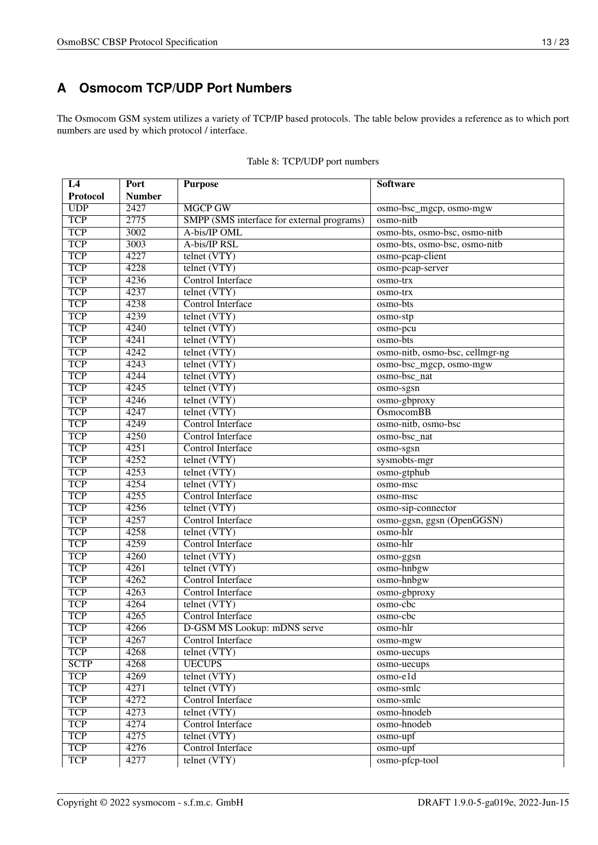## <span id="page-15-0"></span>**A Osmocom TCP/UDP Port Numbers**

The Osmocom GSM system utilizes a variety of TCP/IP based protocols. The table below provides a reference as to which port numbers are used by which protocol / interface.

| L4          | Port              | <b>Purpose</b>                             | <b>Software</b>                 |
|-------------|-------------------|--------------------------------------------|---------------------------------|
| Protocol    | <b>Number</b>     |                                            |                                 |
| UDP         | $\overline{2427}$ | <b>MGCP GW</b>                             | osmo-bsc_mgcp, osmo-mgw         |
| <b>TCP</b>  | 2775              | SMPP (SMS interface for external programs) | osmo-nitb                       |
| <b>TCP</b>  | 3002              | A-bis/IP OML                               | osmo-bts, osmo-bsc, osmo-nitb   |
| <b>TCP</b>  | 3003              | A-bis/IP RSL                               | osmo-bts, osmo-bsc, osmo-nitb   |
| <b>TCP</b>  | 4227              | telnet (VTY)                               | osmo-pcap-client                |
| <b>TCP</b>  | 4228              | telnet (VTY)                               | osmo-pcap-server                |
| <b>TCP</b>  | 4236              | Control Interface                          | osmo-trx                        |
| <b>TCP</b>  | 4237              | telnet (VTY)                               | osmo-trx                        |
| <b>TCP</b>  | 4238              | <b>Control Interface</b>                   | osmo-bts                        |
| <b>TCP</b>  | 4239              | telnet (VTY)                               | osmo-stp                        |
| <b>TCP</b>  | 4240              | telnet (VTY)                               | osmo-pcu                        |
| <b>TCP</b>  | 4241              | telnet (VTY)                               | osmo-bts                        |
| <b>TCP</b>  | 4242              | telnet (VTY)                               | osmo-nitb, osmo-bsc, cellmgr-ng |
| <b>TCP</b>  | 4243              | telnet (VTY)                               | osmo-bsc_mgcp, osmo-mgw         |
| <b>TCP</b>  | 4244              | telnet (VTY)                               | osmo-bsc_nat                    |
| <b>TCP</b>  | 4245              | telnet (VTY)                               | osmo-sgsn                       |
| <b>TCP</b>  | 4246              | telnet (VTY)                               | osmo-gbproxy                    |
| <b>TCP</b>  | 4247              | telnet (VTY)                               | <b>OsmocomBB</b>                |
| <b>TCP</b>  | 4249              | <b>Control Interface</b>                   | osmo-nitb, osmo-bsc             |
| <b>TCP</b>  | 4250              | <b>Control Interface</b>                   | osmo-bsc_nat                    |
| <b>TCP</b>  | 4251              | Control Interface                          | osmo-sgsn                       |
| <b>TCP</b>  | 4252              | telnet (VTY)                               | sysmobts-mgr                    |
| <b>TCP</b>  | 4253              | telnet (VTY)                               | osmo-gtphub                     |
| <b>TCP</b>  | 4254              | telnet (VTY)                               | osmo-msc                        |
| <b>TCP</b>  | 4255              | <b>Control Interface</b>                   | osmo-msc                        |
| <b>TCP</b>  | 4256              | telnet (VTY)                               | osmo-sip-connector              |
| <b>TCP</b>  | 4257              | <b>Control Interface</b>                   | osmo-ggsn, ggsn (OpenGGSN)      |
| <b>TCP</b>  | 4258              | telnet (VTY)                               | osmo-hlr                        |
| <b>TCP</b>  | 4259              | <b>Control Interface</b>                   | osmo-hlr                        |
| <b>TCP</b>  | 4260              | telnet (VTY)                               | osmo-ggsn                       |
| <b>TCP</b>  | 4261              | telnet (VTY)                               | osmo-hnbgw                      |
| <b>TCP</b>  | 4262              | Control Interface                          | osmo-hnbgw                      |
| <b>TCP</b>  | 4263              | <b>Control Interface</b>                   | osmo-gbproxy                    |
| <b>TCP</b>  | 4264              | telnet (VTY)                               | osmo-cbc                        |
| <b>TCP</b>  | 4265              | <b>Control Interface</b>                   | osmo-cbc                        |
| <b>TCP</b>  | 4266              | D-GSM MS Lookup: mDNS serve                | osmo-hlr                        |
| <b>TCP</b>  | 4267              | Control Interface                          | osmo-mgw                        |
| <b>TCP</b>  | 4268              | telnet (VTY)                               | osmo-uecups                     |
| <b>SCTP</b> | 4268              | <b>UECUPS</b>                              | osmo-uecups                     |
| <b>TCP</b>  | 4269              | telnet (VTY)                               | $osmo$ -eld                     |
| <b>TCP</b>  | 4271              | telnet (VTY)                               | osmo-smlc                       |
| <b>TCP</b>  | 4272              | Control Interface                          | osmo-smlc                       |
| <b>TCP</b>  | 4273              | telnet (VTY)                               | osmo-hnodeb                     |
| <b>TCP</b>  | 4274              | Control Interface                          | osmo-hnodeb                     |
| <b>TCP</b>  | 4275              | telnet (VTY)                               | $osmo-upf$                      |
| <b>TCP</b>  | 4276              | Control Interface                          | osmo-upf                        |
| <b>TCP</b>  | 4277              | telnet (VTY)                               | osmo-pfcp-tool                  |

|  |  | Table 8: TCP/UDP port numbers |
|--|--|-------------------------------|
|--|--|-------------------------------|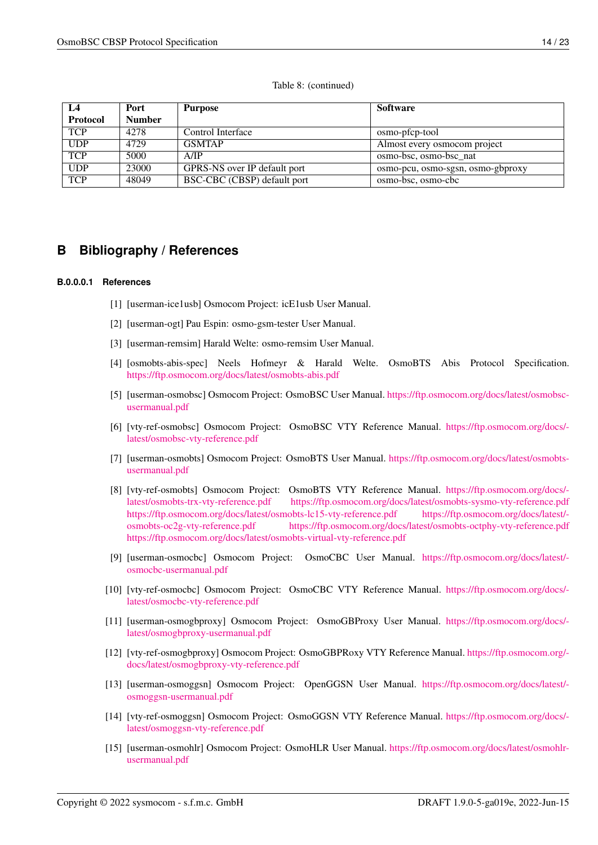#### Table 8: (continued)

| L4         | Port          | <b>Purpose</b>               | <b>Software</b>                   |
|------------|---------------|------------------------------|-----------------------------------|
| Protocol   | <b>Number</b> |                              |                                   |
| <b>TCP</b> | 4278          | Control Interface            | osmo-pfcp-tool                    |
| <b>UDP</b> | 4729          | <b>GSMTAP</b>                | Almost every osmocom project      |
| <b>TCP</b> | 5000          | A/IP                         | osmo-bsc, osmo-bsc nat            |
| <b>UDP</b> | 23000         | GPRS-NS over IP default port | osmo-pcu, osmo-sgsn, osmo-gbproxy |
| <b>TCP</b> | 48049         | BSC-CBC (CBSP) default port  | osmo-bsc, osmo-cbc                |

## <span id="page-16-0"></span>**B Bibliography / References**

#### <span id="page-16-1"></span>**B.0.0.0.1 References**

- [1] [userman-ice1usb] Osmocom Project: icE1usb User Manual.
- [2] [userman-ogt] Pau Espin: osmo-gsm-tester User Manual.
- [3] [userman-remsim] Harald Welte: osmo-remsim User Manual.
- <span id="page-16-4"></span>[4] [osmobts-abis-spec] Neels Hofmeyr & Harald Welte. OsmoBTS Abis Protocol Specification. <https://ftp.osmocom.org/docs/latest/osmobts-abis.pdf>
- <span id="page-16-2"></span>[5] [userman-osmobsc] Osmocom Project: OsmoBSC User Manual. [https://ftp.osmocom.org/docs/latest/osmobsc](https://ftp.osmocom.org/docs/latest/osmobsc-usermanual.pdf)[usermanual.pdf](https://ftp.osmocom.org/docs/latest/osmobsc-usermanual.pdf)
- <span id="page-16-3"></span>[6] [vty-ref-osmobsc] Osmocom Project: OsmoBSC VTY Reference Manual. [https://ftp.osmocom.org/docs/](https://ftp.osmocom.org/docs/latest/osmobsc-vty-reference.pdf) [latest/osmobsc-vty-reference.pdf](https://ftp.osmocom.org/docs/latest/osmobsc-vty-reference.pdf)
- [7] [userman-osmobts] Osmocom Project: OsmoBTS User Manual. [https://ftp.osmocom.org/docs/latest/osmobts](https://ftp.osmocom.org/docs/latest/osmobts-usermanual.pdf)[usermanual.pdf](https://ftp.osmocom.org/docs/latest/osmobts-usermanual.pdf)
- [8] [vty-ref-osmobts] Osmocom Project: OsmoBTS VTY Reference Manual. [https://ftp.osmocom.org/docs/](https://ftp.osmocom.org/docs/latest/osmobts-trx-vty-reference.pdf) [latest/osmobts-trx-vty-reference.pdf](https://ftp.osmocom.org/docs/latest/osmobts-trx-vty-reference.pdf) <https://ftp.osmocom.org/docs/latest/osmobts-sysmo-vty-reference.pdf> <https://ftp.osmocom.org/docs/latest/osmobts-lc15-vty-reference.pdf> [https://ftp.osmocom.org/docs/latest/](https://ftp.osmocom.org/docs/latest/osmobts-oc2g-vty-reference.pdf) [osmobts-oc2g-vty-reference.pdf](https://ftp.osmocom.org/docs/latest/osmobts-oc2g-vty-reference.pdf) <https://ftp.osmocom.org/docs/latest/osmobts-octphy-vty-reference.pdf> <https://ftp.osmocom.org/docs/latest/osmobts-virtual-vty-reference.pdf>
- [9] [userman-osmocbc] Osmocom Project: OsmoCBC User Manual. [https://ftp.osmocom.org/docs/latest/](https://ftp.osmocom.org/docs/latest/osmocbc-usermanual.pdf) [osmocbc-usermanual.pdf](https://ftp.osmocom.org/docs/latest/osmocbc-usermanual.pdf)
- [10] [vty-ref-osmocbc] Osmocom Project: OsmoCBC VTY Reference Manual. [https://ftp.osmocom.org/docs/](https://ftp.osmocom.org/docs/latest/osmocbc-vty-reference.pdf) [latest/osmocbc-vty-reference.pdf](https://ftp.osmocom.org/docs/latest/osmocbc-vty-reference.pdf)
- [11] [userman-osmogbproxy] Osmocom Project: OsmoGBProxy User Manual. [https://ftp.osmocom.org/docs/](https://ftp.osmocom.org/docs/latest/osmogbproxy-usermanual.pdf) [latest/osmogbproxy-usermanual.pdf](https://ftp.osmocom.org/docs/latest/osmogbproxy-usermanual.pdf)
- [12] [vty-ref-osmogbproxy] Osmocom Project: OsmoGBPRoxy VTY Reference Manual. [https://ftp.osmocom.org/](https://ftp.osmocom.org/docs/latest/osmogbproxy-vty-reference.pdf) [docs/latest/osmogbproxy-vty-reference.pdf](https://ftp.osmocom.org/docs/latest/osmogbproxy-vty-reference.pdf)
- [13] [userman-osmoggsn] Osmocom Project: OpenGGSN User Manual. [https://ftp.osmocom.org/docs/latest/](https://ftp.osmocom.org/docs/latest/osmoggsn-usermanual.pdf) [osmoggsn-usermanual.pdf](https://ftp.osmocom.org/docs/latest/osmoggsn-usermanual.pdf)
- [14] [vty-ref-osmoggsn] Osmocom Project: OsmoGGSN VTY Reference Manual. [https://ftp.osmocom.org/docs/](https://ftp.osmocom.org/docs/latest/osmoggsn-vty-reference.pdf) [latest/osmoggsn-vty-reference.pdf](https://ftp.osmocom.org/docs/latest/osmoggsn-vty-reference.pdf)
- [15] [userman-osmohlr] Osmocom Project: OsmoHLR User Manual. [https://ftp.osmocom.org/docs/latest/osmohlr](https://ftp.osmocom.org/docs/latest/osmohlr-usermanual.pdf)[usermanual.pdf](https://ftp.osmocom.org/docs/latest/osmohlr-usermanual.pdf)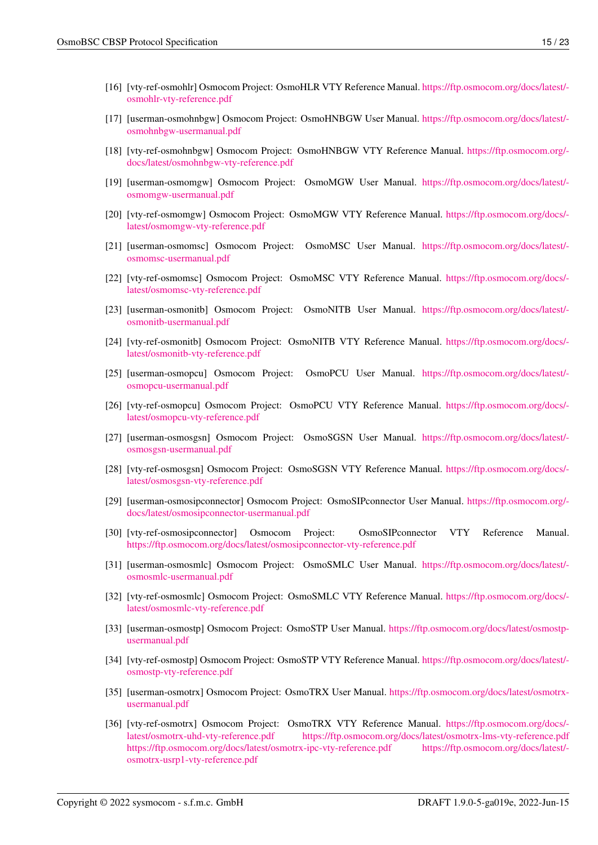- [17] [userman-osmohnbgw] Osmocom Project: OsmoHNBGW User Manual. [https://ftp.osmocom.org/docs/latest/](https://ftp.osmocom.org/docs/latest/osmohnbgw-usermanual.pdf) [osmohnbgw-usermanual.pdf](https://ftp.osmocom.org/docs/latest/osmohnbgw-usermanual.pdf)
- [18] [vty-ref-osmohnbgw] Osmocom Project: OsmoHNBGW VTY Reference Manual. [https://ftp.osmocom.org/](https://ftp.osmocom.org/docs/latest/osmohnbgw-vty-reference.pdf) [docs/latest/osmohnbgw-vty-reference.pdf](https://ftp.osmocom.org/docs/latest/osmohnbgw-vty-reference.pdf)
- [19] [userman-osmomgw] Osmocom Project: OsmoMGW User Manual. [https://ftp.osmocom.org/docs/latest/](https://ftp.osmocom.org/docs/latest/osmomgw-usermanual.pdf) [osmomgw-usermanual.pdf](https://ftp.osmocom.org/docs/latest/osmomgw-usermanual.pdf)
- [20] [vty-ref-osmomgw] Osmocom Project: OsmoMGW VTY Reference Manual. [https://ftp.osmocom.org/docs/](https://ftp.osmocom.org/docs/latest/osmomgw-vty-reference.pdf) [latest/osmomgw-vty-reference.pdf](https://ftp.osmocom.org/docs/latest/osmomgw-vty-reference.pdf)
- [21] [userman-osmomsc] Osmocom Project: OsmoMSC User Manual. [https://ftp.osmocom.org/docs/latest/](https://ftp.osmocom.org/docs/latest/osmomsc-usermanual.pdf) [osmomsc-usermanual.pdf](https://ftp.osmocom.org/docs/latest/osmomsc-usermanual.pdf)
- [22] [vty-ref-osmomsc] Osmocom Project: OsmoMSC VTY Reference Manual. [https://ftp.osmocom.org/docs/](https://ftp.osmocom.org/docs/latest/osmomsc-vty-reference.pdf) [latest/osmomsc-vty-reference.pdf](https://ftp.osmocom.org/docs/latest/osmomsc-vty-reference.pdf)
- [23] [userman-osmonitb] Osmocom Project: OsmoNITB User Manual. [https://ftp.osmocom.org/docs/latest/](https://ftp.osmocom.org/docs/latest/osmonitb-usermanual.pdf) [osmonitb-usermanual.pdf](https://ftp.osmocom.org/docs/latest/osmonitb-usermanual.pdf)
- [24] [vty-ref-osmonitb] Osmocom Project: OsmoNITB VTY Reference Manual. [https://ftp.osmocom.org/docs/](https://ftp.osmocom.org/docs/latest/osmonitb-vty-reference.pdf) [latest/osmonitb-vty-reference.pdf](https://ftp.osmocom.org/docs/latest/osmonitb-vty-reference.pdf)
- [25] [userman-osmopcu] Osmocom Project: OsmoPCU User Manual. [https://ftp.osmocom.org/docs/latest/](https://ftp.osmocom.org/docs/latest/osmopcu-usermanual.pdf) [osmopcu-usermanual.pdf](https://ftp.osmocom.org/docs/latest/osmopcu-usermanual.pdf)
- [26] [vty-ref-osmopcu] Osmocom Project: OsmoPCU VTY Reference Manual. [https://ftp.osmocom.org/docs/](https://ftp.osmocom.org/docs/latest/osmopcu-vty-reference.pdf) [latest/osmopcu-vty-reference.pdf](https://ftp.osmocom.org/docs/latest/osmopcu-vty-reference.pdf)
- [27] [userman-osmosgsn] Osmocom Project: OsmoSGSN User Manual. [https://ftp.osmocom.org/docs/latest/](https://ftp.osmocom.org/docs/latest/osmosgsn-usermanual.pdf) [osmosgsn-usermanual.pdf](https://ftp.osmocom.org/docs/latest/osmosgsn-usermanual.pdf)
- [28] [vty-ref-osmosgsn] Osmocom Project: OsmoSGSN VTY Reference Manual. [https://ftp.osmocom.org/docs/](https://ftp.osmocom.org/docs/latest/osmosgsn-vty-reference.pdf) [latest/osmosgsn-vty-reference.pdf](https://ftp.osmocom.org/docs/latest/osmosgsn-vty-reference.pdf)
- [29] [userman-osmosipconnector] Osmocom Project: OsmoSIPconnector User Manual. [https://ftp.osmocom.org/](https://ftp.osmocom.org/docs/latest/osmosipconnector-usermanual.pdf) [docs/latest/osmosipconnector-usermanual.pdf](https://ftp.osmocom.org/docs/latest/osmosipconnector-usermanual.pdf)
- [30] [vty-ref-osmosipconnector] Osmocom Project: OsmoSIPconnector VTY Reference Manual. <https://ftp.osmocom.org/docs/latest/osmosipconnector-vty-reference.pdf>
- [31] [userman-osmosmlc] Osmocom Project: OsmoSMLC User Manual. [https://ftp.osmocom.org/docs/latest/](https://ftp.osmocom.org/docs/latest/osmosmlc-usermanual.pdf) [osmosmlc-usermanual.pdf](https://ftp.osmocom.org/docs/latest/osmosmlc-usermanual.pdf)
- [32] [vty-ref-osmosmlc] Osmocom Project: OsmoSMLC VTY Reference Manual. [https://ftp.osmocom.org/docs/](https://ftp.osmocom.org/docs/latest/osmosmlc-vty-reference.pdf) [latest/osmosmlc-vty-reference.pdf](https://ftp.osmocom.org/docs/latest/osmosmlc-vty-reference.pdf)
- [33] [userman-osmostp] Osmocom Project: OsmoSTP User Manual. [https://ftp.osmocom.org/docs/latest/osmostp](https://ftp.osmocom.org/docs/latest/osmostp-usermanual.pdf)[usermanual.pdf](https://ftp.osmocom.org/docs/latest/osmostp-usermanual.pdf)
- [34] [vty-ref-osmostp] Osmocom Project: OsmoSTP VTY Reference Manual. [https://ftp.osmocom.org/docs/latest/](https://ftp.osmocom.org/docs/latest/osmostp-vty-reference.pdf) [osmostp-vty-reference.pdf](https://ftp.osmocom.org/docs/latest/osmostp-vty-reference.pdf)
- [35] [userman-osmotrx] Osmocom Project: OsmoTRX User Manual. [https://ftp.osmocom.org/docs/latest/osmotrx](https://ftp.osmocom.org/docs/latest/osmotrx-usermanual.pdf)[usermanual.pdf](https://ftp.osmocom.org/docs/latest/osmotrx-usermanual.pdf)
- [36] [vty-ref-osmotrx] Osmocom Project: OsmoTRX VTY Reference Manual. [https://ftp.osmocom.org/docs/](https://ftp.osmocom.org/docs/latest/osmotrx-uhd-vty-reference.pdf) [latest/osmotrx-uhd-vty-reference.pdf](https://ftp.osmocom.org/docs/latest/osmotrx-uhd-vty-reference.pdf) <https://ftp.osmocom.org/docs/latest/osmotrx-lms-vty-reference.pdf> <https://ftp.osmocom.org/docs/latest/osmotrx-ipc-vty-reference.pdf> [https://ftp.osmocom.org/docs/latest/](https://ftp.osmocom.org/docs/latest/osmotrx-usrp1-vty-reference.pdf) [osmotrx-usrp1-vty-reference.pdf](https://ftp.osmocom.org/docs/latest/osmotrx-usrp1-vty-reference.pdf)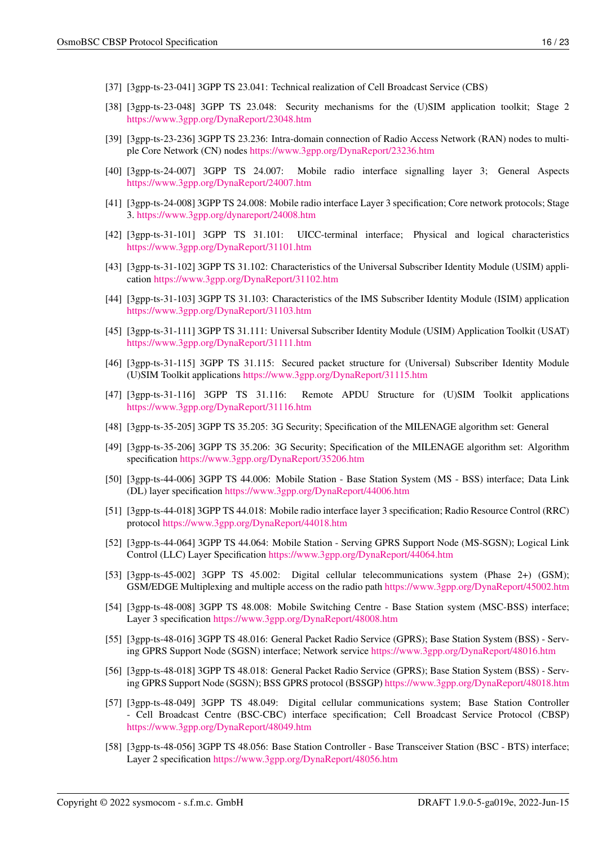- [37] [3gpp-ts-23-041] 3GPP TS 23.041: Technical realization of Cell Broadcast Service (CBS)
- [38] [3gpp-ts-23-048] 3GPP TS 23.048: Security mechanisms for the (U)SIM application toolkit; Stage 2 <https://www.3gpp.org/DynaReport/23048.htm>
- <span id="page-18-5"></span>[39] [3gpp-ts-23-236] 3GPP TS 23.236: Intra-domain connection of Radio Access Network (RAN) nodes to multiple Core Network (CN) nodes <https://www.3gpp.org/DynaReport/23236.htm>
- [40] [3gpp-ts-24-007] 3GPP TS 24.007: Mobile radio interface signalling layer 3; General Aspects <https://www.3gpp.org/DynaReport/24007.htm>
- [41] [3gpp-ts-24-008] 3GPP TS 24.008: Mobile radio interface Layer 3 specification; Core network protocols; Stage 3. <https://www.3gpp.org/dynareport/24008.htm>
- [42] [3gpp-ts-31-101] 3GPP TS 31.101: UICC-terminal interface; Physical and logical characteristics <https://www.3gpp.org/DynaReport/31101.htm>
- [43] [3gpp-ts-31-102] 3GPP TS 31.102: Characteristics of the Universal Subscriber Identity Module (USIM) application <https://www.3gpp.org/DynaReport/31102.htm>
- [44] [3gpp-ts-31-103] 3GPP TS 31.103: Characteristics of the IMS Subscriber Identity Module (ISIM) application <https://www.3gpp.org/DynaReport/31103.htm>
- [45] [3gpp-ts-31-111] 3GPP TS 31.111: Universal Subscriber Identity Module (USIM) Application Toolkit (USAT) <https://www.3gpp.org/DynaReport/31111.htm>
- [46] [3gpp-ts-31-115] 3GPP TS 31.115: Secured packet structure for (Universal) Subscriber Identity Module (U)SIM Toolkit applications <https://www.3gpp.org/DynaReport/31115.htm>
- [47] [3gpp-ts-31-116] 3GPP TS 31.116: Remote APDU Structure for (U)SIM Toolkit applications <https://www.3gpp.org/DynaReport/31116.htm>
- [48] [3gpp-ts-35-205] 3GPP TS 35.205: 3G Security; Specification of the MILENAGE algorithm set: General
- [49] [3gpp-ts-35-206] 3GPP TS 35.206: 3G Security; Specification of the MILENAGE algorithm set: Algorithm specification <https://www.3gpp.org/DynaReport/35206.htm>
- <span id="page-18-3"></span>[50] [3gpp-ts-44-006] 3GPP TS 44.006: Mobile Station - Base Station System (MS - BSS) interface; Data Link (DL) layer specification <https://www.3gpp.org/DynaReport/44006.htm>
- [51] [3gpp-ts-44-018] 3GPP TS 44.018: Mobile radio interface layer 3 specification; Radio Resource Control (RRC) protocol <https://www.3gpp.org/DynaReport/44018.htm>
- <span id="page-18-4"></span>[52] [3gpp-ts-44-064] 3GPP TS 44.064: Mobile Station - Serving GPRS Support Node (MS-SGSN); Logical Link Control (LLC) Layer Specification <https://www.3gpp.org/DynaReport/44064.htm>
- [53] [3gpp-ts-45-002] 3GPP TS 45.002: Digital cellular telecommunications system (Phase 2+) (GSM); GSM/EDGE Multiplexing and multiple access on the radio path <https://www.3gpp.org/DynaReport/45002.htm>
- <span id="page-18-1"></span>[54] [3gpp-ts-48-008] 3GPP TS 48.008: Mobile Switching Centre - Base Station system (MSC-BSS) interface; Layer 3 specification <https://www.3gpp.org/DynaReport/48008.htm>
- <span id="page-18-6"></span>[55] [3gpp-ts-48-016] 3GPP TS 48.016: General Packet Radio Service (GPRS); Base Station System (BSS) - Serving GPRS Support Node (SGSN) interface; Network service <https://www.3gpp.org/DynaReport/48016.htm>
- <span id="page-18-2"></span>[56] [3gpp-ts-48-018] 3GPP TS 48.018: General Packet Radio Service (GPRS); Base Station System (BSS) - Serving GPRS Support Node (SGSN); BSS GPRS protocol (BSSGP) <https://www.3gpp.org/DynaReport/48018.htm>
- <span id="page-18-0"></span>[57] [3gpp-ts-48-049] 3GPP TS 48.049: Digital cellular communications system; Base Station Controller - Cell Broadcast Centre (BSC-CBC) interface specification; Cell Broadcast Service Protocol (CBSP) <https://www.3gpp.org/DynaReport/48049.htm>
- [58] [3gpp-ts-48-056] 3GPP TS 48.056: Base Station Controller Base Transceiver Station (BSC BTS) interface; Layer 2 specification <https://www.3gpp.org/DynaReport/48056.htm>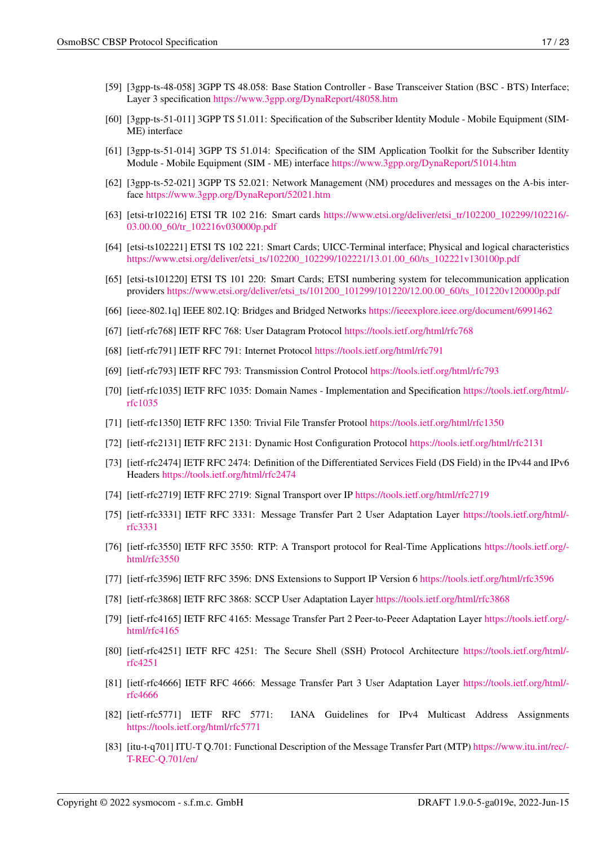- <span id="page-19-0"></span>[60] [3gpp-ts-51-011] 3GPP TS 51.011: Specification of the Subscriber Identity Module - Mobile Equipment (SIM-ME) interface
- [61] [3gpp-ts-51-014] 3GPP TS 51.014: Specification of the SIM Application Toolkit for the Subscriber Identity Module - Mobile Equipment (SIM - ME) interface <https://www.3gpp.org/DynaReport/51014.htm>
- <span id="page-19-1"></span>[62] [3gpp-ts-52-021] 3GPP TS 52.021: Network Management (NM) procedures and messages on the A-bis interface <https://www.3gpp.org/DynaReport/52021.htm>
- <span id="page-19-16"></span>[63] [etsi-tr102216] ETSI TR 102 216: Smart cards [https://www.etsi.org/deliver/etsi\\_tr/102200\\_102299/102216/-](https://www.etsi.org/deliver/etsi_tr/102200_102299/102216/03.00.00_60/tr_102216v030000p.pdf) [03.00.00\\_60/tr\\_102216v030000p.pdf](https://www.etsi.org/deliver/etsi_tr/102200_102299/102216/03.00.00_60/tr_102216v030000p.pdf)
- [64] [etsi-ts102221] ETSI TS 102 221: Smart Cards; UICC-Terminal interface; Physical and logical characteristics [https://www.etsi.org/deliver/etsi\\_ts/102200\\_102299/102221/13.01.00\\_60/ts\\_102221v130100p.pdf](https://www.etsi.org/deliver/etsi_ts/102200_102299/102221/13.01.00_60/ts_102221v130100p.pdf)
- [65] [etsi-ts101220] ETSI TS 101 220: Smart Cards; ETSI numbering system for telecommunication application providers [https://www.etsi.org/deliver/etsi\\_ts/101200\\_101299/101220/12.00.00\\_60/ts\\_101220v120000p.pdf](https://www.etsi.org/deliver/etsi_ts/101200_101299/101220/12.00.00_60/ts_101220v120000p.pdf)
- <span id="page-19-17"></span>[66] [ieee-802.1q] IEEE 802.1Q: Bridges and Bridged Networks <https://ieeexplore.ieee.org/document/6991462>
- <span id="page-19-15"></span>[67] [ietf-rfc768] IETF RFC 768: User Datagram Protocol <https://tools.ietf.org/html/rfc768>
- <span id="page-19-4"></span>[68] [ietf-rfc791] IETF RFC 791: Internet Protocol <https://tools.ietf.org/html/rfc791>
- <span id="page-19-13"></span>[69] [ietf-rfc793] IETF RFC 793: Transmission Control Protocol <https://tools.ietf.org/html/rfc793>
- [70] [ietf-rfc1035] IETF RFC 1035: Domain Names Implementation and Specification [https://tools.ietf.org/html/](https://tools.ietf.org/html/rfc1035) [rfc1035](https://tools.ietf.org/html/rfc1035)
- <span id="page-19-14"></span>[71] [ietf-rfc1350] IETF RFC 1350: Trivial File Transfer Protool <https://tools.ietf.org/html/rfc1350>
- <span id="page-19-2"></span>[72] [ietf-rfc2131] IETF RFC 2131: Dynamic Host Configuration Protocol <https://tools.ietf.org/html/rfc2131>
- <span id="page-19-3"></span>[73] [ietf-rfc2474] IETF RFC 2474: Definition of the Differentiated Services Field (DS Field) in the IPv44 and IPv6 Headers <https://tools.ietf.org/html/rfc2474>
- <span id="page-19-10"></span>[74] [ietf-rfc2719] IETF RFC 2719: Signal Transport over IP <https://tools.ietf.org/html/rfc2719>
- <span id="page-19-6"></span>[75] [ietf-rfc3331] IETF RFC 3331: Message Transfer Part 2 User Adaptation Layer [https://tools.ietf.org/html/](https://tools.ietf.org/html/rfc3331) [rfc3331](https://tools.ietf.org/html/rfc3331)
- <span id="page-19-9"></span>[76] [ietf-rfc3550] IETF RFC 3550: RTP: A Transport protocol for Real-Time Applications [https://tools.ietf.org/](https://tools.ietf.org/html/rfc3550) [html/rfc3550](https://tools.ietf.org/html/rfc3550)
- [77] [ietf-rfc3596] IETF RFC 3596: DNS Extensions to Support IP Version 6 <https://tools.ietf.org/html/rfc3596>
- <span id="page-19-12"></span>[78] [ietf-rfc3868] IETF RFC 3868: SCCP User Adaptation Layer <https://tools.ietf.org/html/rfc3868>
- <span id="page-19-5"></span>[79] [ietf-rfc4165] IETF RFC 4165: Message Transfer Part 2 Peer-to-Peeer Adaptation Layer [https://tools.ietf.org/](https://tools.ietf.org/html/rfc4165) [html/rfc4165](https://tools.ietf.org/html/rfc4165)
- <span id="page-19-11"></span>[80] [ietf-rfc4251] IETF RFC 4251: The Secure Shell (SSH) Protocol Architecture [https://tools.ietf.org/html/](https://tools.ietf.org/html/rfc4251) [rfc4251](https://tools.ietf.org/html/rfc4251)
- <span id="page-19-7"></span>[81] [ietf-rfc4666] IETF RFC 4666: Message Transfer Part 3 User Adaptation Layer [https://tools.ietf.org/html/](https://tools.ietf.org/html/rfc4666) [rfc4666](https://tools.ietf.org/html/rfc4666)
- [82] [ietf-rfc5771] IETF RFC 5771: IANA Guidelines for IPv4 Multicast Address Assignments <https://tools.ietf.org/html/rfc5771>
- <span id="page-19-8"></span>[83] [itu-t-q701] ITU-T Q.701: Functional Description of the Message Transfer Part (MTP) [https://www.itu.int/rec/-](https://www.itu.int/rec/T-REC-Q.701/en/) [T-REC-Q.701/en/](https://www.itu.int/rec/T-REC-Q.701/en/)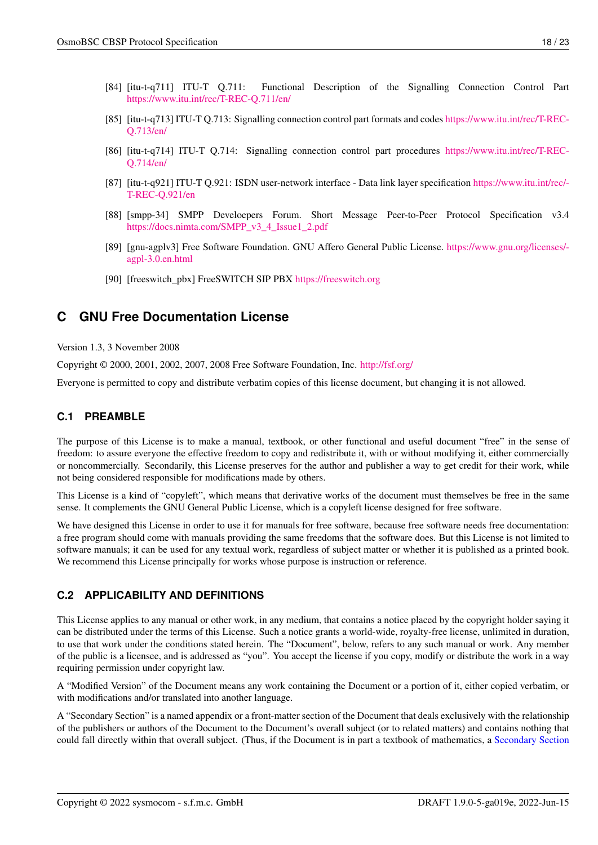- <span id="page-20-4"></span>[84] [itu-t-q711] ITU-T Q.711: Functional Description of the Signalling Connection Control Part <https://www.itu.int/rec/T-REC-Q.711/en/>
- [85] [itu-t-q713] ITU-T Q.713: Signalling connection control part formats and codes [https://www.itu.int/rec/T-REC-](https://www.itu.int/rec/T-REC-Q.713/en/)[Q.713/en/](https://www.itu.int/rec/T-REC-Q.713/en/)
- [86] [itu-t-q714] ITU-T Q.714: Signalling connection control part procedures [https://www.itu.int/rec/T-REC-](https://www.itu.int/rec/T-REC-Q.714/en/)[Q.714/en/](https://www.itu.int/rec/T-REC-Q.714/en/)
- <span id="page-20-3"></span>[87] [itu-t-q921] ITU-T Q.921: ISDN user-network interface - Data link layer specification [https://www.itu.int/rec/-](https://www.itu.int/rec/T-REC-Q.921/en) [T-REC-Q.921/en](https://www.itu.int/rec/T-REC-Q.921/en)
- [88] [smpp-34] SMPP Develoepers Forum. Short Message Peer-to-Peer Protocol Specification v3.4 [https://docs.nimta.com/SMPP\\_v3\\_4\\_Issue1\\_2.pdf](https://docs.nimta.com/SMPP_v3_4_Issue1_2.pdf)
- [89] [gnu-agplv3] Free Software Foundation. GNU Affero General Public License. [https://www.gnu.org/licenses/](https://www.gnu.org/licenses/agpl-3.0.en.html) [agpl-3.0.en.html](https://www.gnu.org/licenses/agpl-3.0.en.html)
- [90] [freeswitch\_pbx] FreeSWITCH SIP PBX <https://freeswitch.org>

## <span id="page-20-0"></span>**C GNU Free Documentation License**

#### Version 1.3, 3 November 2008

Copyright © 2000, 2001, 2002, 2007, 2008 Free Software Foundation, Inc. <http://fsf.org/>

Everyone is permitted to copy and distribute verbatim copies of this license document, but changing it is not allowed.

### <span id="page-20-1"></span>**C.1 PREAMBLE**

The purpose of this License is to make a manual, textbook, or other functional and useful document "free" in the sense of freedom: to assure everyone the effective freedom to copy and redistribute it, with or without modifying it, either commercially or noncommercially. Secondarily, this License preserves for the author and publisher a way to get credit for their work, while not being considered responsible for modifications made by others.

This License is a kind of "copyleft", which means that derivative works of the document must themselves be free in the same sense. It complements the GNU General Public License, which is a copyleft license designed for free software.

We have designed this License in order to use it for manuals for free software, because free software needs free documentation: a free program should come with manuals providing the same freedoms that the software does. But this License is not limited to software manuals; it can be used for any textual work, regardless of subject matter or whether it is published as a printed book. We recommend this License principally for works whose purpose is instruction or reference.

## <span id="page-20-2"></span>**C.2 APPLICABILITY AND DEFINITIONS**

This License applies to any manual or other work, in any medium, that contains a notice placed by the copyright holder saying it can be distributed under the terms of this License. Such a notice grants a world-wide, royalty-free license, unlimited in duration, to use that work under the conditions stated herein. The "Document", below, refers to any such manual or work. Any member of the public is a licensee, and is addressed as "you". You accept the license if you copy, modify or distribute the work in a way requiring permission under copyright law.

<span id="page-20-6"></span>A "Modified Version" of the Document means any work containing the Document or a portion of it, either copied verbatim, or with modifications and/or translated into another language.

<span id="page-20-5"></span>A "Secondary Section" is a named appendix or a front-matter section of the Document that deals exclusively with the relationship of the publishers or authors of the Document to the Document's overall subject (or to related matters) and contains nothing that could fall directly within that overall subject. (Thus, if the Document is in part a textbook of mathematics, a [Secondary Section](#page-20-5)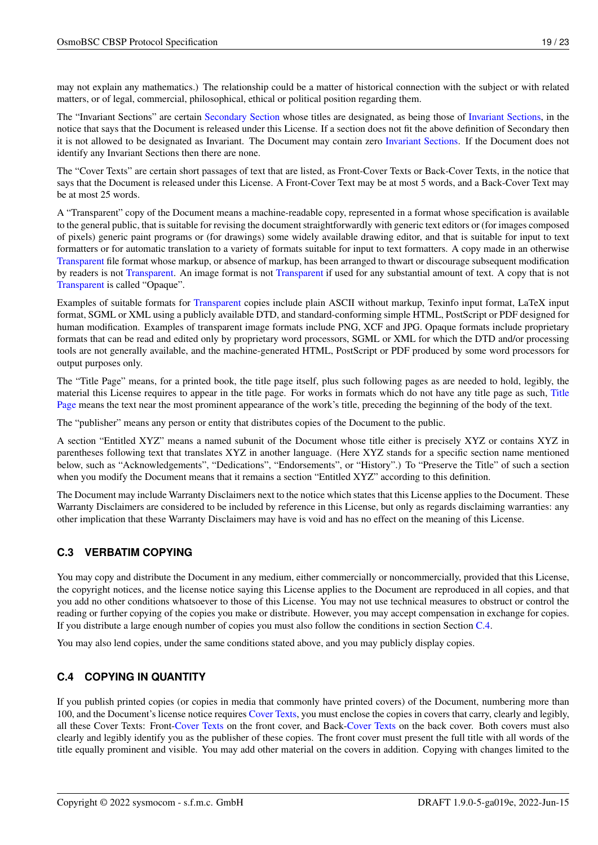may not explain any mathematics.) The relationship could be a matter of historical connection with the subject or with related matters, or of legal, commercial, philosophical, ethical or political position regarding them.

<span id="page-21-2"></span>The "Invariant Sections" are certain [Secondary Section](#page-20-5) whose titles are designated, as being those of [Invariant Sections,](#page-21-2) in the notice that says that the Document is released under this License. If a section does not fit the above definition of Secondary then it is not allowed to be designated as Invariant. The Document may contain zero [Invariant Sections.](#page-21-2) If the Document does not identify any Invariant Sections then there are none.

<span id="page-21-5"></span>The "Cover Texts" are certain short passages of text that are listed, as Front-Cover Texts or Back-Cover Texts, in the notice that says that the Document is released under this License. A Front-Cover Text may be at most 5 words, and a Back-Cover Text may be at most 25 words.

<span id="page-21-3"></span>A "Transparent" copy of the Document means a machine-readable copy, represented in a format whose specification is available to the general public, that is suitable for revising the document straightforwardly with generic text editors or (for images composed of pixels) generic paint programs or (for drawings) some widely available drawing editor, and that is suitable for input to text formatters or for automatic translation to a variety of formats suitable for input to text formatters. A copy made in an otherwise [Transparent](#page-21-3) file format whose markup, or absence of markup, has been arranged to thwart or discourage subsequent modification by readers is not [Transparent.](#page-21-3) An image format is not [Transparent](#page-21-3) if used for any substantial amount of text. A copy that is not [Transparent](#page-21-3) is called "Opaque".

Examples of suitable formats for [Transparent](#page-21-3) copies include plain ASCII without markup, Texinfo input format, LaTeX input format, SGML or XML using a publicly available DTD, and standard-conforming simple HTML, PostScript or PDF designed for human modification. Examples of transparent image formats include PNG, XCF and JPG. Opaque formats include proprietary formats that can be read and edited only by proprietary word processors, SGML or XML for which the DTD and/or processing tools are not generally available, and the machine-generated HTML, PostScript or PDF produced by some word processors for output purposes only.

<span id="page-21-4"></span>The "Title Page" means, for a printed book, the title page itself, plus such following pages as are needed to hold, legibly, the material this License requires to appear in the title page. For works in formats which do not have any title page as such, [Title](#page-21-4) [Page](#page-21-4) means the text near the most prominent appearance of the work's title, preceding the beginning of the body of the text.

The "publisher" means any person or entity that distributes copies of the Document to the public.

A section "Entitled XYZ" means a named subunit of the Document whose title either is precisely XYZ or contains XYZ in parentheses following text that translates XYZ in another language. (Here XYZ stands for a specific section name mentioned below, such as "Acknowledgements", "Dedications", "Endorsements", or "History".) To "Preserve the Title" of such a section when you modify the Document means that it remains a section "Entitled XYZ" according to this definition.

The Document may include Warranty Disclaimers next to the notice which states that this License applies to the Document. These Warranty Disclaimers are considered to be included by reference in this License, but only as regards disclaiming warranties: any other implication that these Warranty Disclaimers may have is void and has no effect on the meaning of this License.

## <span id="page-21-0"></span>**C.3 VERBATIM COPYING**

You may copy and distribute the Document in any medium, either commercially or noncommercially, provided that this License, the copyright notices, and the license notice saying this License applies to the Document are reproduced in all copies, and that you add no other conditions whatsoever to those of this License. You may not use technical measures to obstruct or control the reading or further copying of the copies you make or distribute. However, you may accept compensation in exchange for copies. If you distribute a large enough number of copies you must also follow the conditions in section Section [C.4.](#page-21-1)

You may also lend copies, under the same conditions stated above, and you may publicly display copies.

## <span id="page-21-1"></span>**C.4 COPYING IN QUANTITY**

If you publish printed copies (or copies in media that commonly have printed covers) of the Document, numbering more than 100, and the Document's license notice requires [Cover Texts,](#page-21-5) you must enclose the copies in covers that carry, clearly and legibly, all these Cover Texts: Front[-Cover Texts](#page-21-5) on the front cover, and Back[-Cover Texts](#page-21-5) on the back cover. Both covers must also clearly and legibly identify you as the publisher of these copies. The front cover must present the full title with all words of the title equally prominent and visible. You may add other material on the covers in addition. Copying with changes limited to the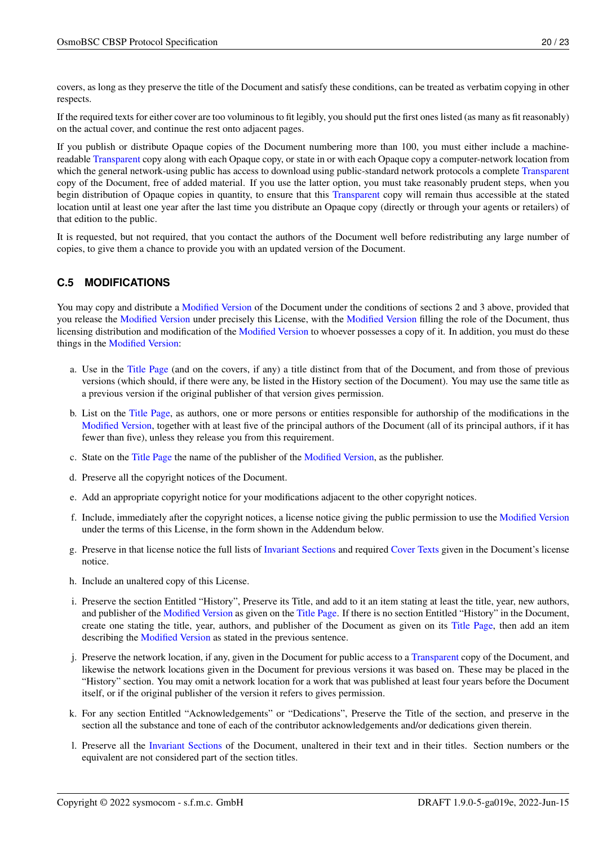covers, as long as they preserve the title of the Document and satisfy these conditions, can be treated as verbatim copying in other respects.

If the required texts for either cover are too voluminous to fit legibly, you should put the first ones listed (as many as fit reasonably) on the actual cover, and continue the rest onto adjacent pages.

If you publish or distribute Opaque copies of the Document numbering more than 100, you must either include a machinereadable [Transparent](#page-21-3) copy along with each Opaque copy, or state in or with each Opaque copy a computer-network location from which the general network-using public has access to download using public-standard network protocols a complete [Transparent](#page-21-3) copy of the Document, free of added material. If you use the latter option, you must take reasonably prudent steps, when you begin distribution of Opaque copies in quantity, to ensure that this [Transparent](#page-21-3) copy will remain thus accessible at the stated location until at least one year after the last time you distribute an Opaque copy (directly or through your agents or retailers) of that edition to the public.

It is requested, but not required, that you contact the authors of the Document well before redistributing any large number of copies, to give them a chance to provide you with an updated version of the Document.

## <span id="page-22-0"></span>**C.5 MODIFICATIONS**

You may copy and distribute a [Modified Version](#page-20-6) of the Document under the conditions of sections 2 and 3 above, provided that you release the [Modified Version](#page-20-6) under precisely this License, with the [Modified Version](#page-20-6) filling the role of the Document, thus licensing distribution and modification of the [Modified Version](#page-20-6) to whoever possesses a copy of it. In addition, you must do these things in the [Modified Version:](#page-20-6)

- a. Use in the [Title Page](#page-21-4) (and on the covers, if any) a title distinct from that of the Document, and from those of previous versions (which should, if there were any, be listed in the History section of the Document). You may use the same title as a previous version if the original publisher of that version gives permission.
- b. List on the [Title Page,](#page-21-4) as authors, one or more persons or entities responsible for authorship of the modifications in the [Modified Version,](#page-20-6) together with at least five of the principal authors of the Document (all of its principal authors, if it has fewer than five), unless they release you from this requirement.
- c. State on the [Title Page](#page-21-4) the name of the publisher of the [Modified Version,](#page-20-6) as the publisher.
- d. Preserve all the copyright notices of the Document.
- e. Add an appropriate copyright notice for your modifications adjacent to the other copyright notices.
- f. Include, immediately after the copyright notices, a license notice giving the public permission to use the [Modified Version](#page-20-6) under the terms of this License, in the form shown in the Addendum below.
- g. Preserve in that license notice the full lists of [Invariant Sections](#page-21-2) and required [Cover Texts](#page-21-5) given in the Document's license notice.
- h. Include an unaltered copy of this License.
- i. Preserve the section Entitled "History", Preserve its Title, and add to it an item stating at least the title, year, new authors, and publisher of the [Modified Version](#page-20-6) as given on the [Title Page.](#page-21-4) If there is no section Entitled "History" in the Document, create one stating the title, year, authors, and publisher of the Document as given on its [Title Page,](#page-21-4) then add an item describing the [Modified Version](#page-20-6) as stated in the previous sentence.
- j. Preserve the network location, if any, given in the Document for public access to a [Transparent](#page-21-3) copy of the Document, and likewise the network locations given in the Document for previous versions it was based on. These may be placed in the "History" section. You may omit a network location for a work that was published at least four years before the Document itself, or if the original publisher of the version it refers to gives permission.
- k. For any section Entitled "Acknowledgements" or "Dedications", Preserve the Title of the section, and preserve in the section all the substance and tone of each of the contributor acknowledgements and/or dedications given therein.
- l. Preserve all the [Invariant Sections](#page-21-2) of the Document, unaltered in their text and in their titles. Section numbers or the equivalent are not considered part of the section titles.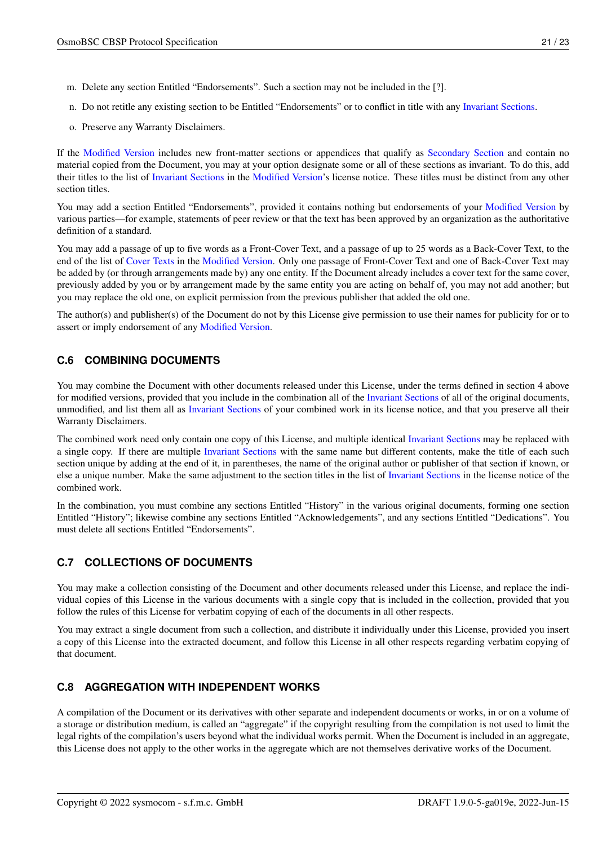- m. Delete any section Entitled "Endorsements". Such a section may not be included in the [?].
- n. Do not retitle any existing section to be Entitled "Endorsements" or to conflict in title with any [Invariant Sections.](#page-21-2)
- o. Preserve any Warranty Disclaimers.

If the [Modified Version](#page-20-6) includes new front-matter sections or appendices that qualify as [Secondary Section](#page-20-5) and contain no material copied from the Document, you may at your option designate some or all of these sections as invariant. To do this, add their titles to the list of [Invariant Sections](#page-21-2) in the [Modified Version'](#page-20-6)s license notice. These titles must be distinct from any other section titles.

You may add a section Entitled "Endorsements", provided it contains nothing but endorsements of your [Modified Version](#page-20-6) by various parties—for example, statements of peer review or that the text has been approved by an organization as the authoritative definition of a standard.

You may add a passage of up to five words as a Front-Cover Text, and a passage of up to 25 words as a Back-Cover Text, to the end of the list of [Cover Texts](#page-21-5) in the [Modified Version.](#page-20-6) Only one passage of Front-Cover Text and one of Back-Cover Text may be added by (or through arrangements made by) any one entity. If the Document already includes a cover text for the same cover, previously added by you or by arrangement made by the same entity you are acting on behalf of, you may not add another; but you may replace the old one, on explicit permission from the previous publisher that added the old one.

The author(s) and publisher(s) of the Document do not by this License give permission to use their names for publicity for or to assert or imply endorsement of any [Modified Version.](#page-20-6)

### <span id="page-23-0"></span>**C.6 COMBINING DOCUMENTS**

You may combine the Document with other documents released under this License, under the terms defined in section 4 above for modified versions, provided that you include in the combination all of the [Invariant Sections](#page-21-2) of all of the original documents, unmodified, and list them all as [Invariant Sections](#page-21-2) of your combined work in its license notice, and that you preserve all their Warranty Disclaimers.

The combined work need only contain one copy of this License, and multiple identical [Invariant Sections](#page-21-2) may be replaced with a single copy. If there are multiple [Invariant Sections](#page-21-2) with the same name but different contents, make the title of each such section unique by adding at the end of it, in parentheses, the name of the original author or publisher of that section if known, or else a unique number. Make the same adjustment to the section titles in the list of [Invariant Sections](#page-21-2) in the license notice of the combined work.

In the combination, you must combine any sections Entitled "History" in the various original documents, forming one section Entitled "History"; likewise combine any sections Entitled "Acknowledgements", and any sections Entitled "Dedications". You must delete all sections Entitled "Endorsements".

## <span id="page-23-1"></span>**C.7 COLLECTIONS OF DOCUMENTS**

You may make a collection consisting of the Document and other documents released under this License, and replace the individual copies of this License in the various documents with a single copy that is included in the collection, provided that you follow the rules of this License for verbatim copying of each of the documents in all other respects.

You may extract a single document from such a collection, and distribute it individually under this License, provided you insert a copy of this License into the extracted document, and follow this License in all other respects regarding verbatim copying of that document.

## <span id="page-23-2"></span>**C.8 AGGREGATION WITH INDEPENDENT WORKS**

A compilation of the Document or its derivatives with other separate and independent documents or works, in or on a volume of a storage or distribution medium, is called an "aggregate" if the copyright resulting from the compilation is not used to limit the legal rights of the compilation's users beyond what the individual works permit. When the Document is included in an aggregate, this License does not apply to the other works in the aggregate which are not themselves derivative works of the Document.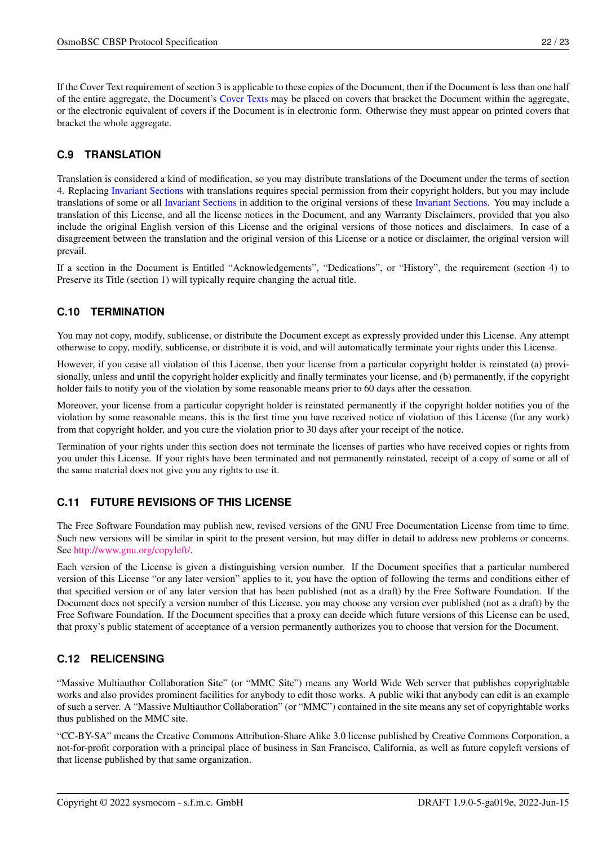If the Cover Text requirement of section 3 is applicable to these copies of the Document, then if the Document is less than one half of the entire aggregate, the Document's [Cover Texts](#page-21-5) may be placed on covers that bracket the Document within the aggregate, or the electronic equivalent of covers if the Document is in electronic form. Otherwise they must appear on printed covers that bracket the whole aggregate.

## <span id="page-24-0"></span>**C.9 TRANSLATION**

Translation is considered a kind of modification, so you may distribute translations of the Document under the terms of section 4. Replacing [Invariant Sections](#page-21-2) with translations requires special permission from their copyright holders, but you may include translations of some or all [Invariant Sections](#page-21-2) in addition to the original versions of these [Invariant Sections.](#page-21-2) You may include a translation of this License, and all the license notices in the Document, and any Warranty Disclaimers, provided that you also include the original English version of this License and the original versions of those notices and disclaimers. In case of a disagreement between the translation and the original version of this License or a notice or disclaimer, the original version will prevail.

If a section in the Document is Entitled "Acknowledgements", "Dedications", or "History", the requirement (section 4) to Preserve its Title (section 1) will typically require changing the actual title.

## <span id="page-24-1"></span>**C.10 TERMINATION**

You may not copy, modify, sublicense, or distribute the Document except as expressly provided under this License. Any attempt otherwise to copy, modify, sublicense, or distribute it is void, and will automatically terminate your rights under this License.

However, if you cease all violation of this License, then your license from a particular copyright holder is reinstated (a) provisionally, unless and until the copyright holder explicitly and finally terminates your license, and (b) permanently, if the copyright holder fails to notify you of the violation by some reasonable means prior to 60 days after the cessation.

Moreover, your license from a particular copyright holder is reinstated permanently if the copyright holder notifies you of the violation by some reasonable means, this is the first time you have received notice of violation of this License (for any work) from that copyright holder, and you cure the violation prior to 30 days after your receipt of the notice.

Termination of your rights under this section does not terminate the licenses of parties who have received copies or rights from you under this License. If your rights have been terminated and not permanently reinstated, receipt of a copy of some or all of the same material does not give you any rights to use it.

## <span id="page-24-2"></span>**C.11 FUTURE REVISIONS OF THIS LICENSE**

The Free Software Foundation may publish new, revised versions of the GNU Free Documentation License from time to time. Such new versions will be similar in spirit to the present version, but may differ in detail to address new problems or concerns. See [http://www.gnu.org/copyleft/.](http://www.gnu.org/copyleft/)

Each version of the License is given a distinguishing version number. If the Document specifies that a particular numbered version of this License "or any later version" applies to it, you have the option of following the terms and conditions either of that specified version or of any later version that has been published (not as a draft) by the Free Software Foundation. If the Document does not specify a version number of this License, you may choose any version ever published (not as a draft) by the Free Software Foundation. If the Document specifies that a proxy can decide which future versions of this License can be used, that proxy's public statement of acceptance of a version permanently authorizes you to choose that version for the Document.

## <span id="page-24-3"></span>**C.12 RELICENSING**

"Massive Multiauthor Collaboration Site" (or "MMC Site") means any World Wide Web server that publishes copyrightable works and also provides prominent facilities for anybody to edit those works. A public wiki that anybody can edit is an example of such a server. A "Massive Multiauthor Collaboration" (or "MMC") contained in the site means any set of copyrightable works thus published on the MMC site.

"CC-BY-SA" means the Creative Commons Attribution-Share Alike 3.0 license published by Creative Commons Corporation, a not-for-profit corporation with a principal place of business in San Francisco, California, as well as future copyleft versions of that license published by that same organization.